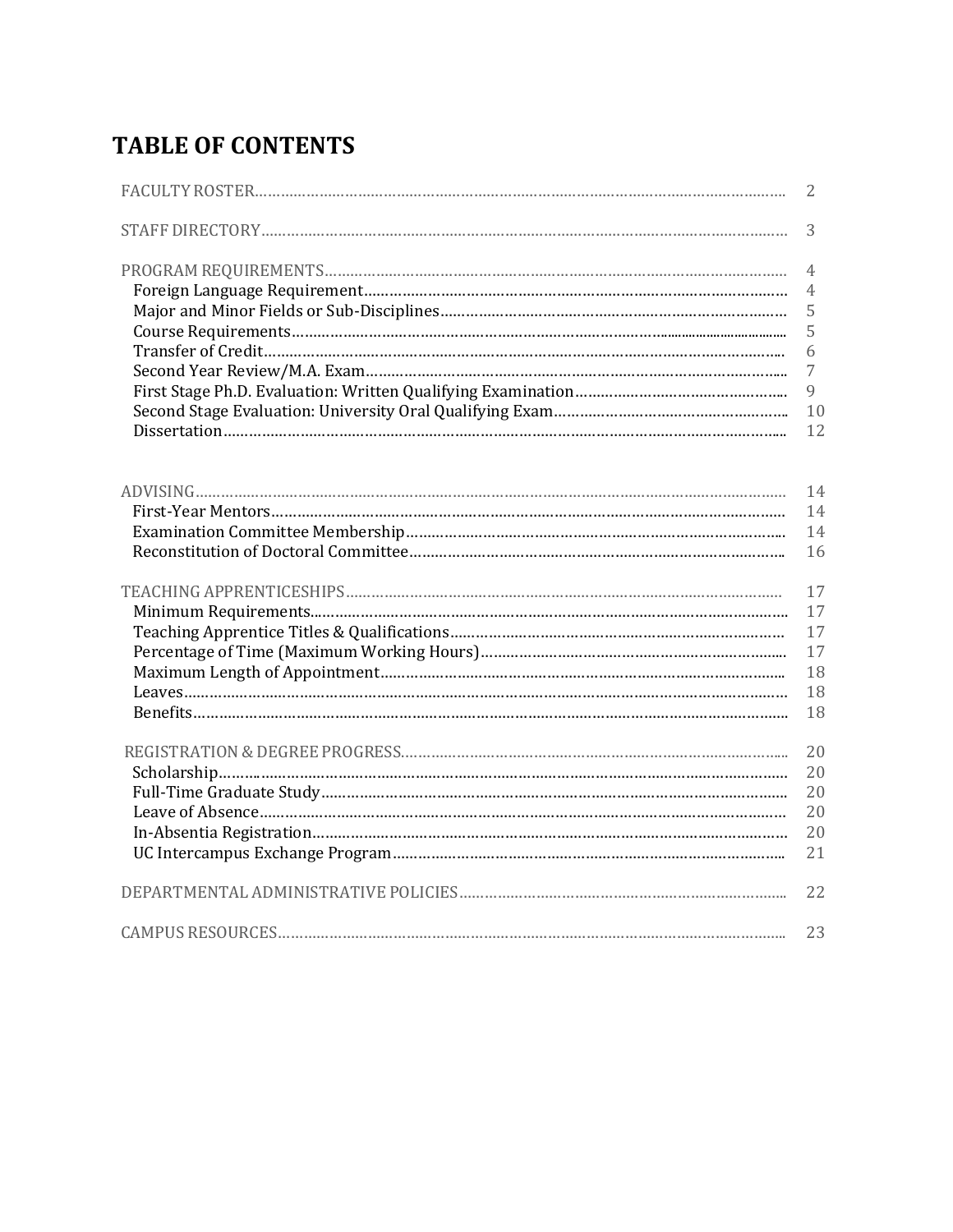# **TABLE OF CONTENTS**

| 2  |
|----|
| 3  |
| 4  |
| 4  |
| 5  |
| 5  |
| 6  |
| 7  |
| 9  |
| 10 |
| 12 |
|    |
| 14 |
| 14 |
| 14 |
| 16 |
| 17 |
| 17 |
| 17 |
| 17 |
| 18 |
| 18 |
| 18 |
|    |
| 20 |
| 20 |
| 20 |
| 20 |
| 20 |
| 21 |
| 22 |
| 23 |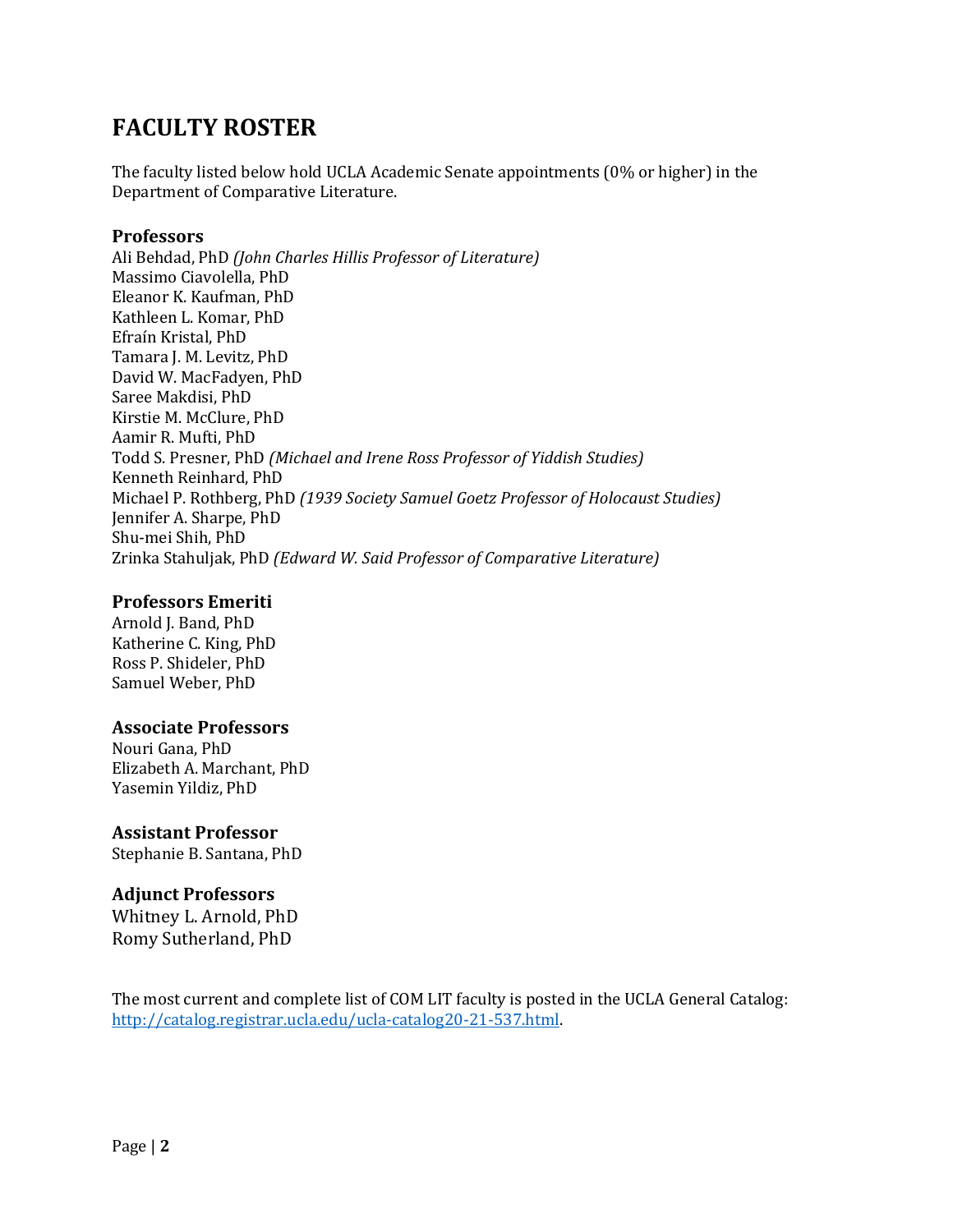# **FACULTY ROSTER**

The faculty listed below hold UCLA Academic Senate appointments (0% or higher) in the Department of Comparative Literature.

#### **Professors**

Ali Behdad, PhD (John Charles Hillis Professor of Literature) Massimo Ciavolella, PhD Eleanor K. Kaufman, PhD Kathleen L. Komar, PhD Efraín Kristal, PhD Tamara J. M. Levitz, PhD David W. MacFadyen, PhD Saree Makdisi, PhD Kirstie M. McClure, PhD Aamir R. Mufti, PhD Todd S. Presner, PhD *(Michael and Irene Ross Professor of Yiddish Studies)* Kenneth Reinhard, PhD Michael P. Rothberg, PhD (1939 Society Samuel Goetz Professor of Holocaust Studies) Jennifer A. Sharpe, PhD Shu-mei Shih, PhD Zrinka Stahuljak, PhD *(Edward W. Said Professor of Comparative Literature)*

#### **Professors Emeriti**

Arnold J. Band, PhD Katherine C. King, PhD Ross P. Shideler, PhD Samuel Weber, PhD

#### **Associate Professors**

Nouri Gana, PhD Elizabeth A. Marchant, PhD Yasemin Yildiz, PhD

#### **Assistant Professor**

Stephanie B. Santana, PhD

#### **Adjunct Professors**

Whitney L. Arnold, PhD Romy Sutherland, PhD

The most current and complete list of COM LIT faculty is posted in the UCLA General Catalog: http://catalog.registrar.ucla.edu/ucla-catalog20-21-537.html.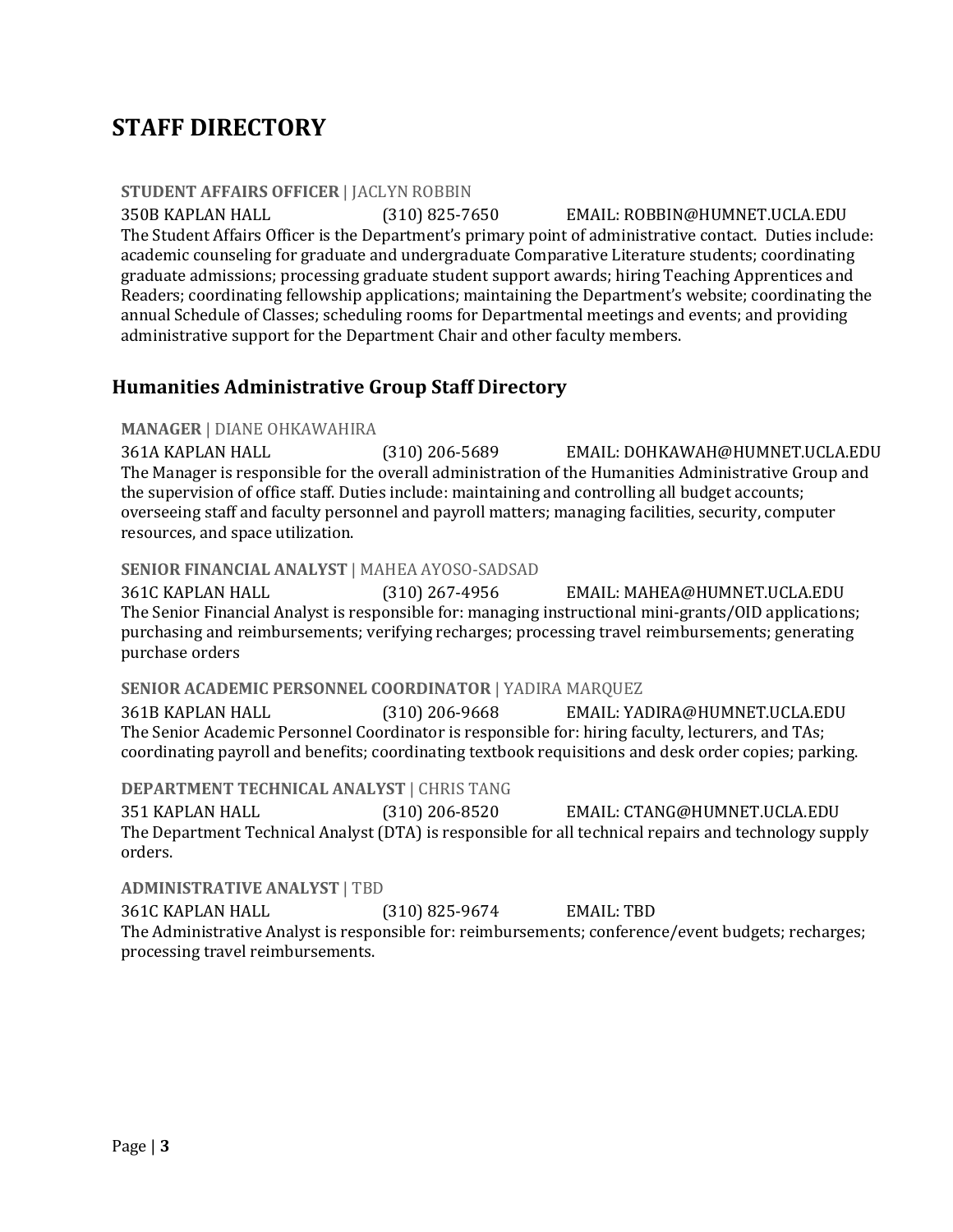# **STAFF DIRECTORY**

#### **STUDENT AFFAIRS OFFICER | JACLYN ROBBIN**

350B KAPLAN HALL (310) 825-7650 EMAIL: ROBBIN@HUMNET.UCLA.EDU The Student Affairs Officer is the Department's primary point of administrative contact. Duties include: academic counseling for graduate and undergraduate Comparative Literature students; coordinating graduate admissions; processing graduate student support awards; hiring Teaching Apprentices and Readers; coordinating fellowship applications; maintaining the Department's website; coordinating the annual Schedule of Classes; scheduling rooms for Departmental meetings and events; and providing administrative support for the Department Chair and other faculty members.

## **Humanities Administrative Group Staff Directory**

#### **MANAGER** | DIANE OHKAWAHIRA

361A KAPLAN HALL (310) 206-5689 EMAIL: DOHKAWAH@HUMNET.UCLA.EDU The Manager is responsible for the overall administration of the Humanities Administrative Group and the supervision of office staff. Duties include: maintaining and controlling all budget accounts; overseeing staff and faculty personnel and payroll matters; managing facilities, security, computer resources, and space utilization.

#### **SENIOR FINANCIAL ANALYST | MAHEA AYOSO-SADSAD**

361C KAPLAN HALL (310) 267-4956 EMAIL: MAHEA@HUMNET.UCLA.EDU The Senior Financial Analyst is responsible for: managing instructional mini-grants/OID applications; purchasing and reimbursements; verifying recharges; processing travel reimbursements; generating purchase orders 

#### **SENIOR ACADEMIC PERSONNEL COORDINATOR | YADIRA MARQUEZ**

361B KAPLAN HALL (310) 206-9668 EMAIL: YADIRA@HUMNET.UCLA.EDU The Senior Academic Personnel Coordinator is responsible for: hiring faculty, lecturers, and TAs; coordinating payroll and benefits; coordinating textbook requisitions and desk order copies; parking.

#### **DEPARTMENT TECHNICAL ANALYST | CHRIS TANG**

351 KAPLAN HALL (310) 206-8520 EMAIL: CTANG@HUMNET.UCLA.EDU The Department Technical Analyst (DTA) is responsible for all technical repairs and technology supply orders.

#### **ADMINISTRATIVE ANALYST | TBD**

361C KAPLAN HALL (310) 825-9674 EMAIL: TBD The Administrative Analyst is responsible for: reimbursements; conference/event budgets; recharges; processing travel reimbursements.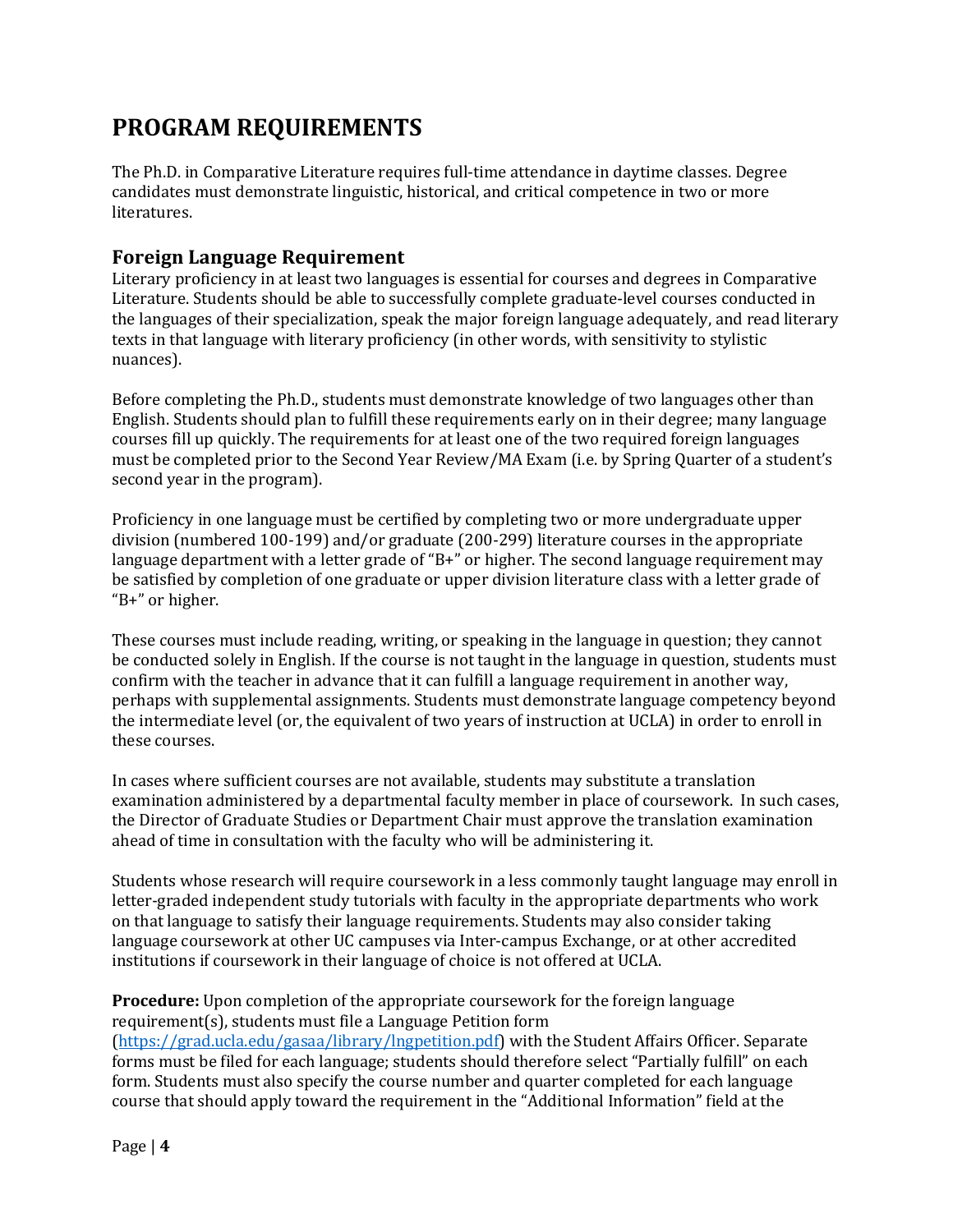# **PROGRAM REQUIREMENTS**

The Ph.D. in Comparative Literature requires full-time attendance in daytime classes. Degree candidates must demonstrate linguistic, historical, and critical competence in two or more literatures. 

## **Foreign Language Requirement**

Literary proficiency in at least two languages is essential for courses and degrees in Comparative Literature. Students should be able to successfully complete graduate-level courses conducted in the languages of their specialization, speak the major foreign language adequately, and read literary texts in that language with literary proficiency (in other words, with sensitivity to stylistic nuances). 

Before completing the Ph.D., students must demonstrate knowledge of two languages other than English. Students should plan to fulfill these requirements early on in their degree; many language courses fill up quickly. The requirements for at least one of the two required foreign languages must be completed prior to the Second Year Review/MA Exam (i.e. by Spring Quarter of a student's second year in the program).

Proficiency in one language must be certified by completing two or more undergraduate upper division (numbered 100-199) and/or graduate (200-299) literature courses in the appropriate language department with a letter grade of "B+" or higher. The second language requirement may be satisfied by completion of one graduate or upper division literature class with a letter grade of "B+" or higher.

These courses must include reading, writing, or speaking in the language in question; they cannot be conducted solely in English. If the course is not taught in the language in question, students must confirm with the teacher in advance that it can fulfill a language requirement in another way, perhaps with supplemental assignments. Students must demonstrate language competency beyond the intermediate level (or, the equivalent of two years of instruction at UCLA) in order to enroll in these courses.

In cases where sufficient courses are not available, students may substitute a translation examination administered by a departmental faculty member in place of coursework. In such cases, the Director of Graduate Studies or Department Chair must approve the translation examination ahead of time in consultation with the faculty who will be administering it.

Students whose research will require coursework in a less commonly taught language may enroll in letter-graded independent study tutorials with faculty in the appropriate departments who work on that language to satisfy their language requirements. Students may also consider taking language coursework at other UC campuses via Inter-campus Exchange, or at other accredited institutions if coursework in their language of choice is not offered at UCLA.

**Procedure:** Upon completion of the appropriate coursework for the foreign language requirement(s), students must file a Language Petition form

(https://grad.ucla.edu/gasaa/library/lngpetition.pdf) with the Student Affairs Officer. Separate forms must be filed for each language; students should therefore select "Partially fulfill" on each form. Students must also specify the course number and quarter completed for each language course that should apply toward the requirement in the "Additional Information" field at the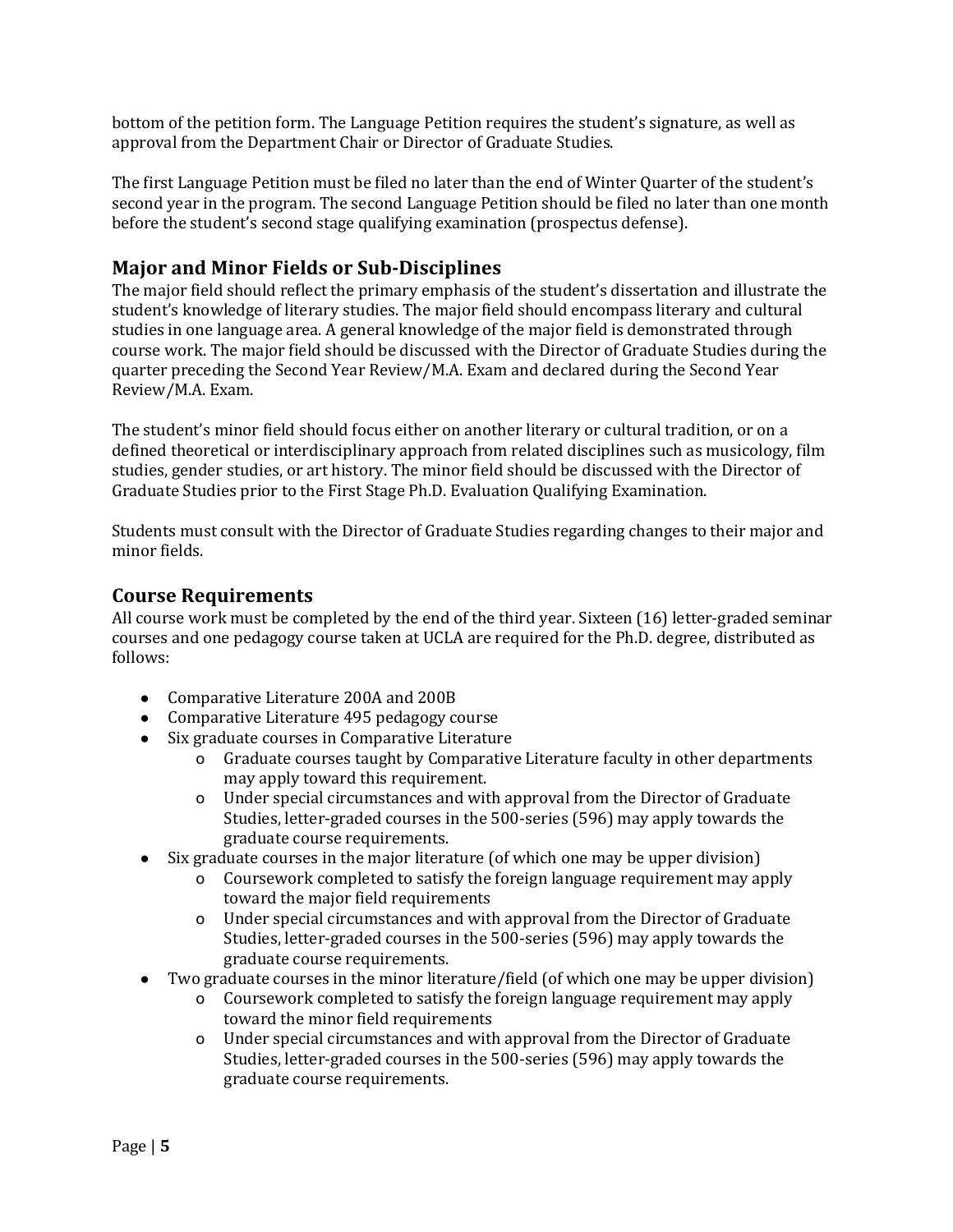bottom of the petition form. The Language Petition requires the student's signature, as well as approval from the Department Chair or Director of Graduate Studies.

The first Language Petition must be filed no later than the end of Winter Quarter of the student's second year in the program. The second Language Petition should be filed no later than one month before the student's second stage qualifying examination (prospectus defense).

## **Major and Minor Fields or Sub-Disciplines**

The major field should reflect the primary emphasis of the student's dissertation and illustrate the student's knowledge of literary studies. The major field should encompass literary and cultural studies in one language area. A general knowledge of the major field is demonstrated through course work. The major field should be discussed with the Director of Graduate Studies during the quarter preceding the Second Year Review/M.A. Exam and declared during the Second Year Review/M.A. Exam.

The student's minor field should focus either on another literary or cultural tradition, or on a defined theoretical or interdisciplinary approach from related disciplines such as musicology, film studies, gender studies, or art history. The minor field should be discussed with the Director of Graduate Studies prior to the First Stage Ph.D. Evaluation Qualifying Examination.

Students must consult with the Director of Graduate Studies regarding changes to their major and minor fields.

#### **Course Requirements**

All course work must be completed by the end of the third year. Sixteen  $(16)$  letter-graded seminar courses and one pedagogy course taken at UCLA are required for the Ph.D. degree, distributed as follows:

- Comparative Literature 200A and 200B
- Comparative Literature 495 pedagogy course
- Six graduate courses in Comparative Literature
	- o Graduate courses taught by Comparative Literature faculty in other departments may apply toward this requirement.
	- o Under special circumstances and with approval from the Director of Graduate Studies, letter-graded courses in the 500-series (596) may apply towards the graduate course requirements.
- Six graduate courses in the major literature (of which one may be upper division)
	- o Coursework completed to satisfy the foreign language requirement may apply toward the major field requirements
	- o Under special circumstances and with approval from the Director of Graduate Studies, letter-graded courses in the 500-series (596) may apply towards the graduate course requirements.
- Two graduate courses in the minor literature/field (of which one may be upper division)
	- o Coursework completed to satisfy the foreign language requirement may apply toward the minor field requirements
	- o Under special circumstances and with approval from the Director of Graduate Studies, letter-graded courses in the 500-series (596) may apply towards the graduate course requirements.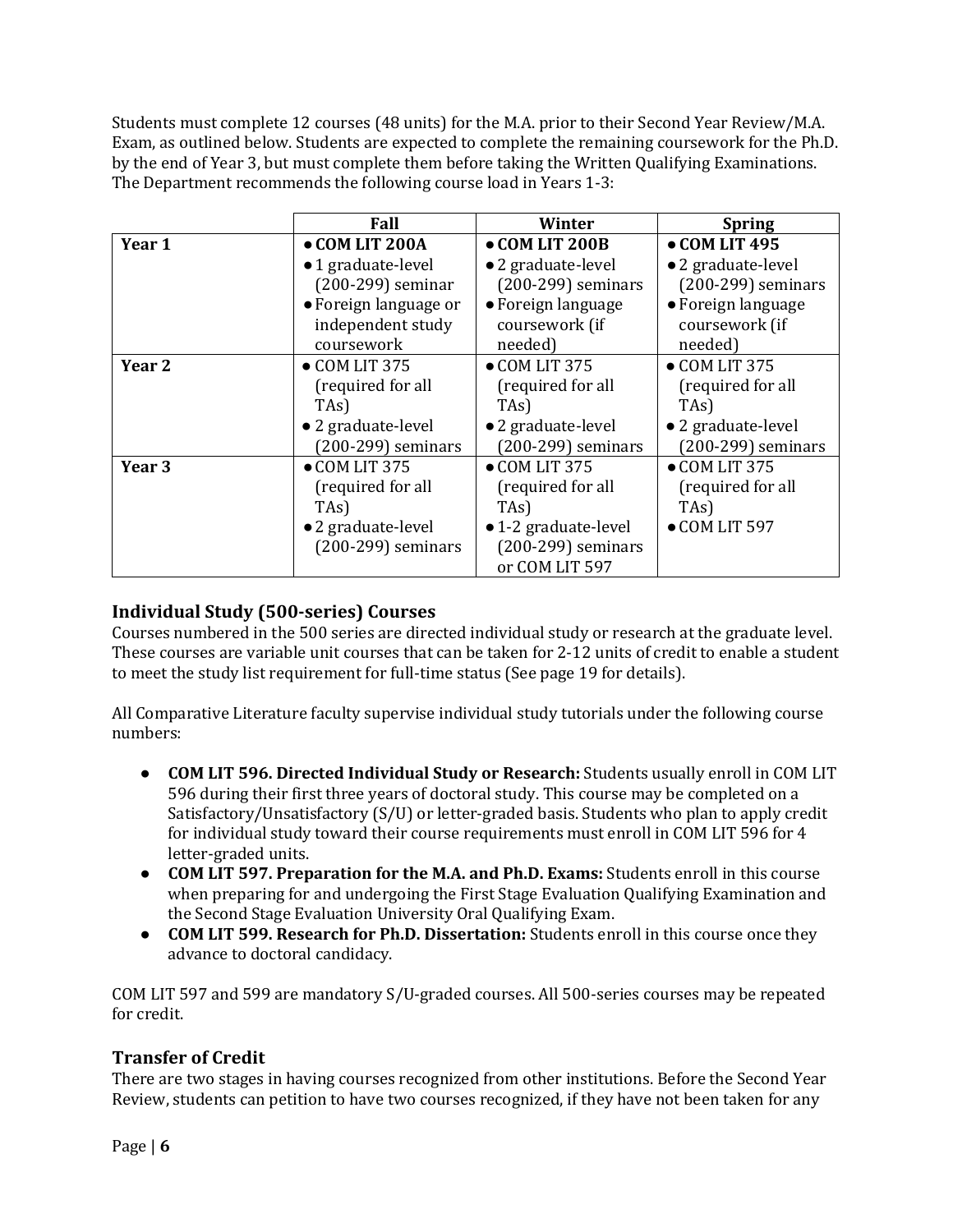Students must complete 12 courses (48 units) for the M.A. prior to their Second Year Review/M.A. Exam, as outlined below. Students are expected to complete the remaining coursework for the Ph.D. by the end of Year 3, but must complete them before taking the Written Qualifying Examinations. The Department recommends the following course load in Years 1-3:

|        | Fall                                       | Winter                               | <b>Spring</b>                        |
|--------|--------------------------------------------|--------------------------------------|--------------------------------------|
| Year 1 | • COM LIT 200A                             | • COM LIT 200B                       | $\bullet$ COM LIT 495                |
|        | •1 graduate-level                          | • 2 graduate-level                   | • 2 graduate-level                   |
|        | $(200-299)$ seminar                        | $(200-299)$ seminars                 | (200-299) seminars                   |
|        | • Foreign language or<br>independent study | • Foreign language<br>coursework (if | • Foreign language<br>coursework (if |
|        | coursework                                 | needed)                              | needed)                              |
| Year 2 | $\bullet$ COM LIT 375                      | $\bullet$ COM LIT 375                | $\bullet$ COM LIT 375                |
|        | (required for all                          | (required for all                    | (required for all                    |
|        | TAs)                                       | TA <sub>s</sub> )                    | TAs)                                 |
|        | • 2 graduate-level                         | • 2 graduate-level                   | • 2 graduate-level                   |
|        | $(200-299)$ seminars                       | $(200-299)$ seminars                 | $(200-299)$ seminars                 |
| Year 3 | $\bullet$ COM LIT 375                      | $\bullet$ COM LIT 375                | $\bullet$ COM LIT 375                |
|        | (required for all                          | (required for all                    | (required for all                    |
|        | TA <sub>s</sub> )                          | TA <sub>s</sub> )                    | TA <sub>s</sub> )                    |
|        | • 2 graduate-level                         | • 1-2 graduate-level                 | $\bullet$ COM LIT 597                |
|        | $(200-299)$ seminars                       | $(200-299)$ seminars                 |                                      |
|        |                                            | or COM LIT 597                       |                                      |

## **Individual Study (500-series) Courses**

Courses numbered in the 500 series are directed individual study or research at the graduate level. These courses are variable unit courses that can be taken for 2-12 units of credit to enable a student to meet the study list requirement for full-time status (See page 19 for details).

All Comparative Literature faculty supervise individual study tutorials under the following course numbers:

- **COM LIT 596. Directed Individual Study or Research:** Students usually enroll in COM LIT 596 during their first three years of doctoral study. This course may be completed on a Satisfactory/Unsatisfactory (S/U) or letter-graded basis. Students who plan to apply credit for individual study toward their course requirements must enroll in COM LIT 596 for  $4$ letter-graded units.
- **COM LIT 597. Preparation for the M.A. and Ph.D. Exams:** Students enroll in this course when preparing for and undergoing the First Stage Evaluation Qualifying Examination and the Second Stage Evaluation University Oral Qualifying Exam.
- **COM LIT 599. Research for Ph.D. Dissertation:** Students enroll in this course once they advance to doctoral candidacy.

COM LIT 597 and 599 are mandatory S/U-graded courses. All 500-series courses may be repeated for credit.

## **Transfer of Credit**

There are two stages in having courses recognized from other institutions. Before the Second Year Review, students can petition to have two courses recognized, if they have not been taken for any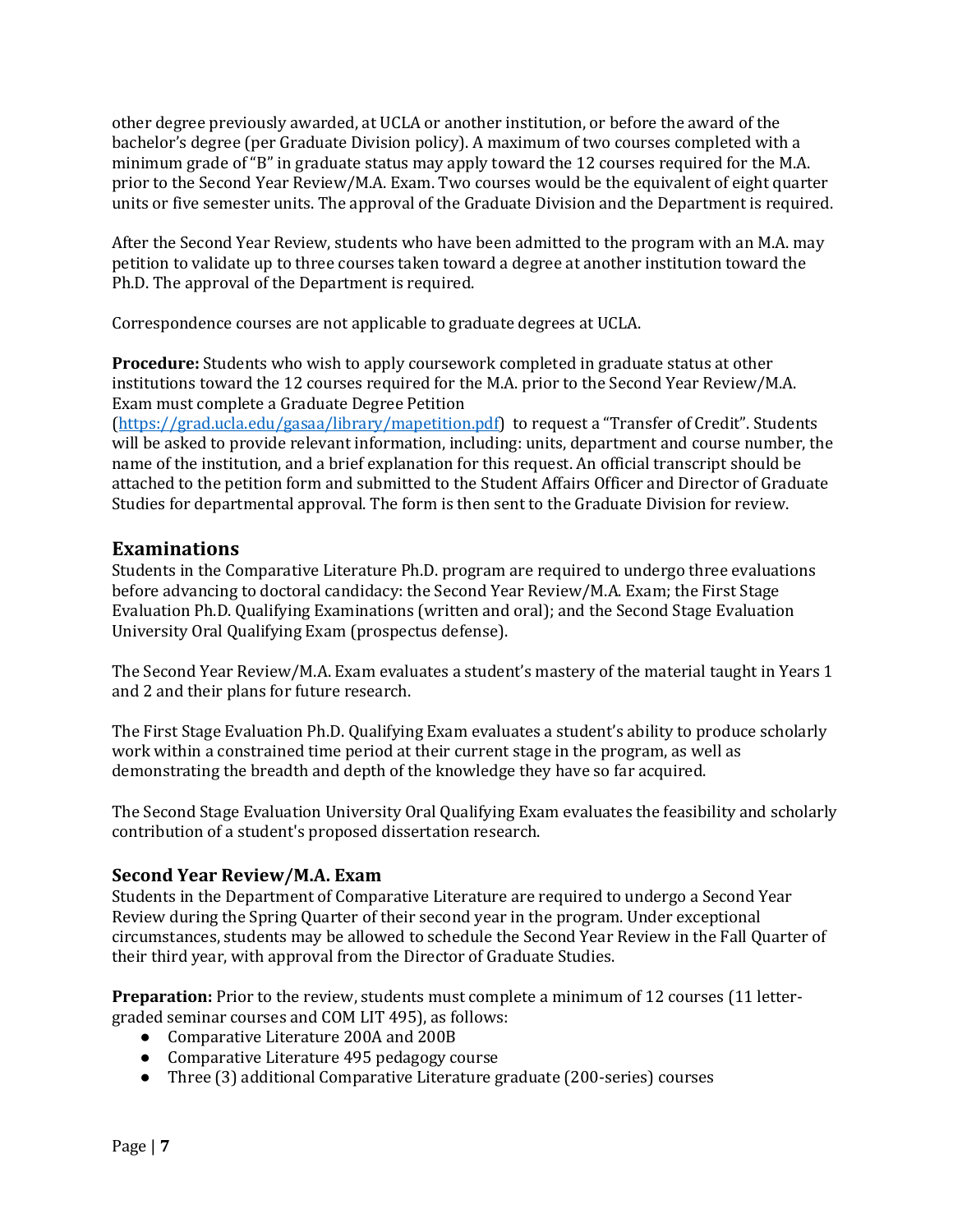other degree previously awarded, at UCLA or another institution, or before the award of the bachelor's degree (per Graduate Division policy). A maximum of two courses completed with a minimum grade of "B" in graduate status may apply toward the 12 courses required for the M.A. prior to the Second Year Review/M.A. Exam. Two courses would be the equivalent of eight quarter units or five semester units. The approval of the Graduate Division and the Department is required.

After the Second Year Review, students who have been admitted to the program with an M.A. may petition to validate up to three courses taken toward a degree at another institution toward the Ph.D. The approval of the Department is required.

Correspondence courses are not applicable to graduate degrees at UCLA.

**Procedure:** Students who wish to apply coursework completed in graduate status at other institutions toward the 12 courses required for the M.A. prior to the Second Year Review/M.A. Exam must complete a Graduate Degree Petition

 $(\text{https://grad.ucla.edu/gasa/library/mapetition.pdf})$  to request a "Transfer of Credit". Students will be asked to provide relevant information, including: units, department and course number, the name of the institution, and a brief explanation for this request. An official transcript should be attached to the petition form and submitted to the Student Affairs Officer and Director of Graduate Studies for departmental approval. The form is then sent to the Graduate Division for review.

## **Examinations**

Students in the Comparative Literature Ph.D. program are required to undergo three evaluations before advancing to doctoral candidacy: the Second Year Review/M.A. Exam; the First Stage Evaluation Ph.D. Qualifying Examinations (written and oral); and the Second Stage Evaluation University Oral Qualifying Exam (prospectus defense).

The Second Year Review/M.A. Exam evaluates a student's mastery of the material taught in Years 1 and 2 and their plans for future research.

The First Stage Evaluation Ph.D. Qualifying Exam evaluates a student's ability to produce scholarly work within a constrained time period at their current stage in the program, as well as demonstrating the breadth and depth of the knowledge they have so far acquired.

The Second Stage Evaluation University Oral Qualifying Exam evaluates the feasibility and scholarly contribution of a student's proposed dissertation research.

## **Second Year Review/M.A. Exam**

Students in the Department of Comparative Literature are required to undergo a Second Year Review during the Spring Quarter of their second year in the program. Under exceptional circumstances, students may be allowed to schedule the Second Year Review in the Fall Quarter of their third year, with approval from the Director of Graduate Studies.

**Preparation:** Prior to the review, students must complete a minimum of 12 courses (11 lettergraded seminar courses and COM LIT 495), as follows:

- Comparative Literature 200A and 200B
- Comparative Literature 495 pedagogy course
- Three (3) additional Comparative Literature graduate (200-series) courses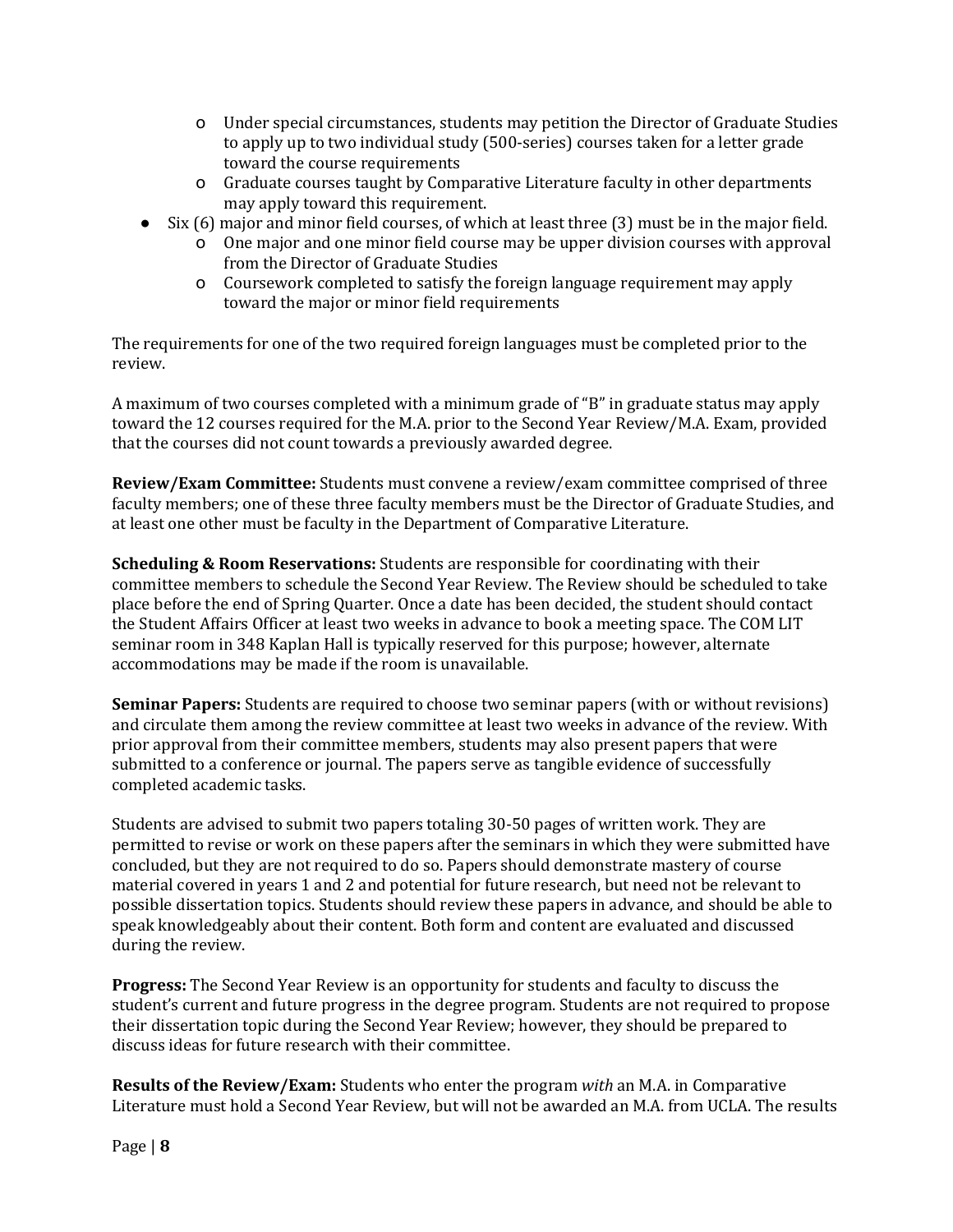- o Under special circumstances, students may petition the Director of Graduate Studies to apply up to two individual study (500-series) courses taken for a letter grade toward the course requirements
- o Graduate courses taught by Comparative Literature faculty in other departments may apply toward this requirement.
- Six (6) major and minor field courses, of which at least three (3) must be in the major field.
	- o One major and one minor field course may be upper division courses with approval from the Director of Graduate Studies
	- o Coursework completed to satisfy the foreign language requirement may apply toward the major or minor field requirements

The requirements for one of the two required foreign languages must be completed prior to the review.

A maximum of two courses completed with a minimum grade of "B" in graduate status may apply toward the 12 courses required for the M.A. prior to the Second Year Review/M.A. Exam, provided that the courses did not count towards a previously awarded degree.

**Review/Exam Committee:** Students must convene a review/exam committee comprised of three faculty members; one of these three faculty members must be the Director of Graduate Studies, and at least one other must be faculty in the Department of Comparative Literature.

**Scheduling & Room Reservations:** Students are responsible for coordinating with their committee members to schedule the Second Year Review. The Review should be scheduled to take place before the end of Spring Quarter. Once a date has been decided, the student should contact the Student Affairs Officer at least two weeks in advance to book a meeting space. The COM LIT seminar room in 348 Kaplan Hall is typically reserved for this purpose; however, alternate accommodations may be made if the room is unavailable.

**Seminar Papers:** Students are required to choose two seminar papers (with or without revisions) and circulate them among the review committee at least two weeks in advance of the review. With prior approval from their committee members, students may also present papers that were submitted to a conference or journal. The papers serve as tangible evidence of successfully completed academic tasks.

Students are advised to submit two papers totaling 30-50 pages of written work. They are permitted to revise or work on these papers after the seminars in which they were submitted have concluded, but they are not required to do so. Papers should demonstrate mastery of course material covered in years 1 and 2 and potential for future research, but need not be relevant to possible dissertation topics. Students should review these papers in advance, and should be able to speak knowledgeably about their content. Both form and content are evaluated and discussed during the review.

**Progress:** The Second Year Review is an opportunity for students and faculty to discuss the student's current and future progress in the degree program. Students are not required to propose their dissertation topic during the Second Year Review; however, they should be prepared to discuss ideas for future research with their committee.

**Results of the Review/Exam:** Students who enter the program *with* an M.A. in Comparative Literature must hold a Second Year Review, but will not be awarded an M.A. from UCLA. The results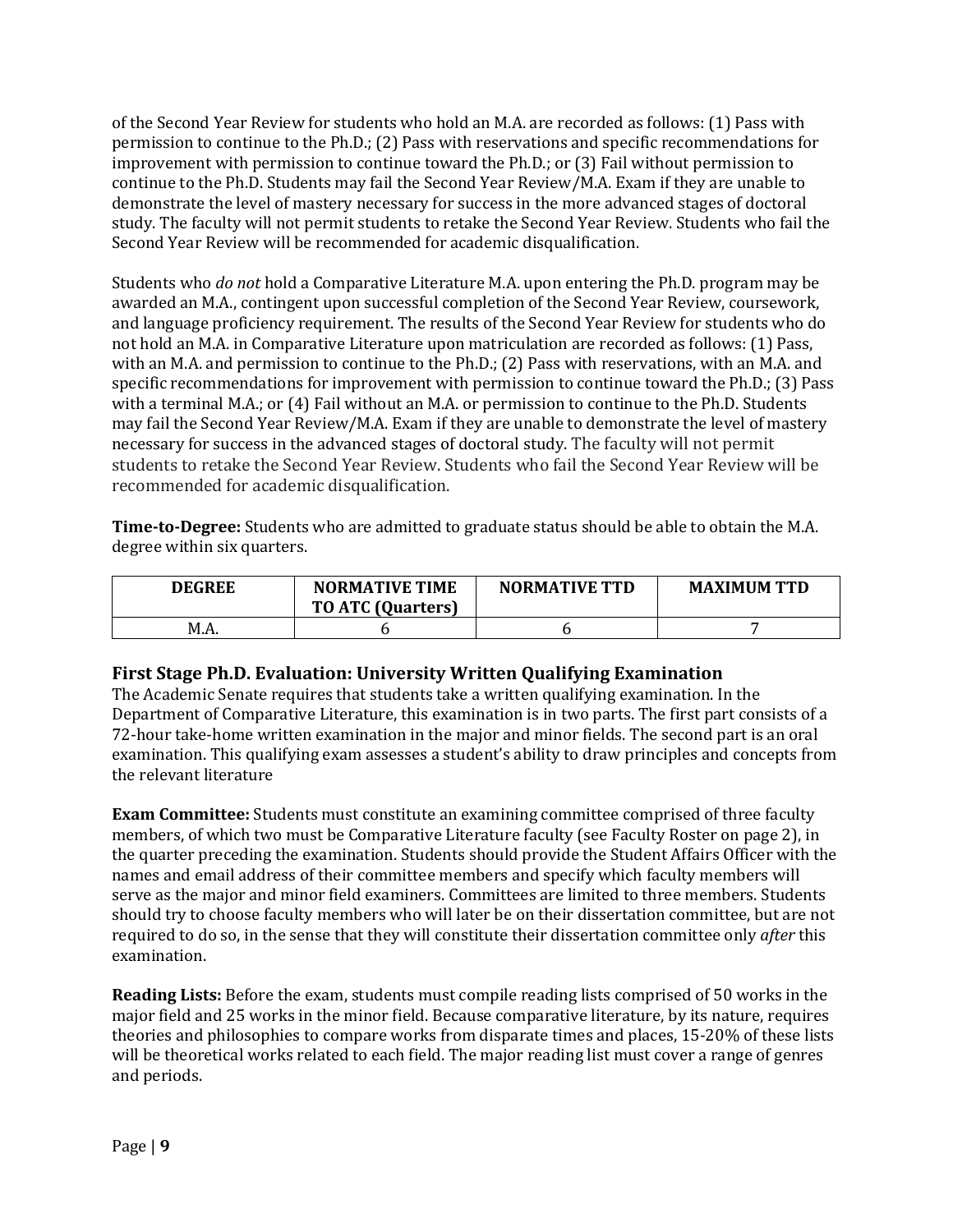of the Second Year Review for students who hold an M.A. are recorded as follows: (1) Pass with permission to continue to the Ph.D.;  $(2)$  Pass with reservations and specific recommendations for improvement with permission to continue toward the Ph.D.; or (3) Fail without permission to continue to the Ph.D. Students may fail the Second Year Review/M.A. Exam if they are unable to demonstrate the level of mastery necessary for success in the more advanced stages of doctoral study. The faculty will not permit students to retake the Second Year Review. Students who fail the Second Year Review will be recommended for academic disqualification.

Students who *do not* hold a Comparative Literature M.A. upon entering the Ph.D. program may be awarded an M.A., contingent upon successful completion of the Second Year Review, coursework, and language proficiency requirement. The results of the Second Year Review for students who do not hold an M.A. in Comparative Literature upon matriculation are recorded as follows: (1) Pass, with an M.A. and permission to continue to the Ph.D.; (2) Pass with reservations, with an M.A. and specific recommendations for improvement with permission to continue toward the Ph.D.; (3) Pass with a terminal M.A.; or  $(4)$  Fail without an M.A. or permission to continue to the Ph.D. Students may fail the Second Year Review/M.A. Exam if they are unable to demonstrate the level of mastery necessary for success in the advanced stages of doctoral study. The faculty will not permit students to retake the Second Year Review. Students who fail the Second Year Review will be recommended for academic disqualification.

**Time-to-Degree:** Students who are admitted to graduate status should be able to obtain the M.A. degree within six quarters.

| <b>DEGREE</b> | <b>NORMATIVE TIME</b><br><b>TO ATC (Quarters)</b> | <b>NORMATIVE TTD</b> | <b>MAXIMUM TTD</b> |
|---------------|---------------------------------------------------|----------------------|--------------------|
| M.A.          |                                                   |                      |                    |

## **First Stage Ph.D. Evaluation: University Written Qualifying Examination**

The Academic Senate requires that students take a written qualifying examination. In the Department of Comparative Literature, this examination is in two parts. The first part consists of a 72-hour take-home written examination in the major and minor fields. The second part is an oral examination. This qualifying exam assesses a student's ability to draw principles and concepts from the relevant literature

**Exam Committee:** Students must constitute an examining committee comprised of three faculty members, of which two must be Comparative Literature faculty (see Faculty Roster on page 2), in the quarter preceding the examination. Students should provide the Student Affairs Officer with the names and email address of their committee members and specify which faculty members will serve as the major and minor field examiners. Committees are limited to three members. Students should try to choose faculty members who will later be on their dissertation committee, but are not required to do so, in the sense that they will constitute their dissertation committee only *after* this examination.

**Reading Lists:** Before the exam, students must compile reading lists comprised of 50 works in the major field and 25 works in the minor field. Because comparative literature, by its nature, requires theories and philosophies to compare works from disparate times and places, 15-20% of these lists will be theoretical works related to each field. The major reading list must cover a range of genres and periods.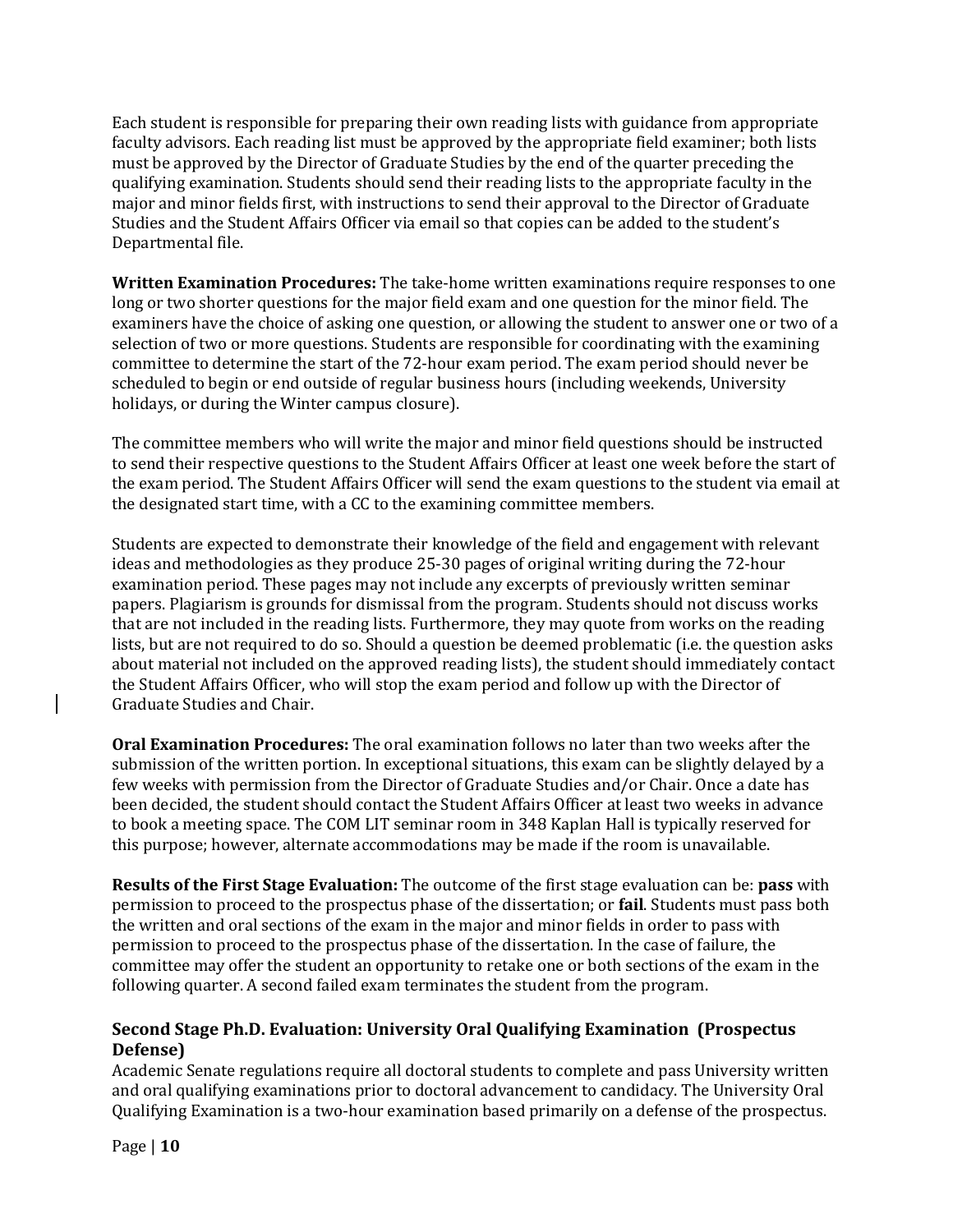Each student is responsible for preparing their own reading lists with guidance from appropriate faculty advisors. Each reading list must be approved by the appropriate field examiner; both lists must be approved by the Director of Graduate Studies by the end of the quarter preceding the qualifying examination. Students should send their reading lists to the appropriate faculty in the major and minor fields first, with instructions to send their approval to the Director of Graduate Studies and the Student Affairs Officer via email so that copies can be added to the student's Departmental file.

**Written Examination Procedures:** The take-home written examinations require responses to one long or two shorter questions for the major field exam and one question for the minor field. The examiners have the choice of asking one question, or allowing the student to answer one or two of a selection of two or more questions. Students are responsible for coordinating with the examining committee to determine the start of the 72-hour exam period. The exam period should never be scheduled to begin or end outside of regular business hours (including weekends, University holidays, or during the Winter campus closure).

The committee members who will write the major and minor field questions should be instructed to send their respective questions to the Student Affairs Officer at least one week before the start of the exam period. The Student Affairs Officer will send the exam questions to the student via email at the designated start time, with a CC to the examining committee members.

Students are expected to demonstrate their knowledge of the field and engagement with relevant ideas and methodologies as they produce 25-30 pages of original writing during the 72-hour examination period. These pages may not include any excerpts of previously written seminar papers. Plagiarism is grounds for dismissal from the program. Students should not discuss works that are not included in the reading lists. Furthermore, they may quote from works on the reading lists, but are not required to do so. Should a question be deemed problematic (i.e. the question asks about material not included on the approved reading lists), the student should immediately contact the Student Affairs Officer, who will stop the exam period and follow up with the Director of Graduate Studies and Chair.

**Oral Examination Procedures:** The oral examination follows no later than two weeks after the submission of the written portion. In exceptional situations, this exam can be slightly delayed by a few weeks with permission from the Director of Graduate Studies and/or Chair. Once a date has been decided, the student should contact the Student Affairs Officer at least two weeks in advance to book a meeting space. The COM LIT seminar room in 348 Kaplan Hall is typically reserved for this purpose; however, alternate accommodations may be made if the room is unavailable.

**Results of the First Stage Evaluation:** The outcome of the first stage evaluation can be: **pass** with permission to proceed to the prospectus phase of the dissertation; or **fail**. Students must pass both the written and oral sections of the exam in the major and minor fields in order to pass with permission to proceed to the prospectus phase of the dissertation. In the case of failure, the committee may offer the student an opportunity to retake one or both sections of the exam in the following quarter. A second failed exam terminates the student from the program.

## **Second Stage Ph.D. Evaluation: University Oral Qualifying Examination (Prospectus Defense)**

Academic Senate regulations require all doctoral students to complete and pass University written and oral qualifying examinations prior to doctoral advancement to candidacy. The University Oral Qualifying Examination is a two-hour examination based primarily on a defense of the prospectus.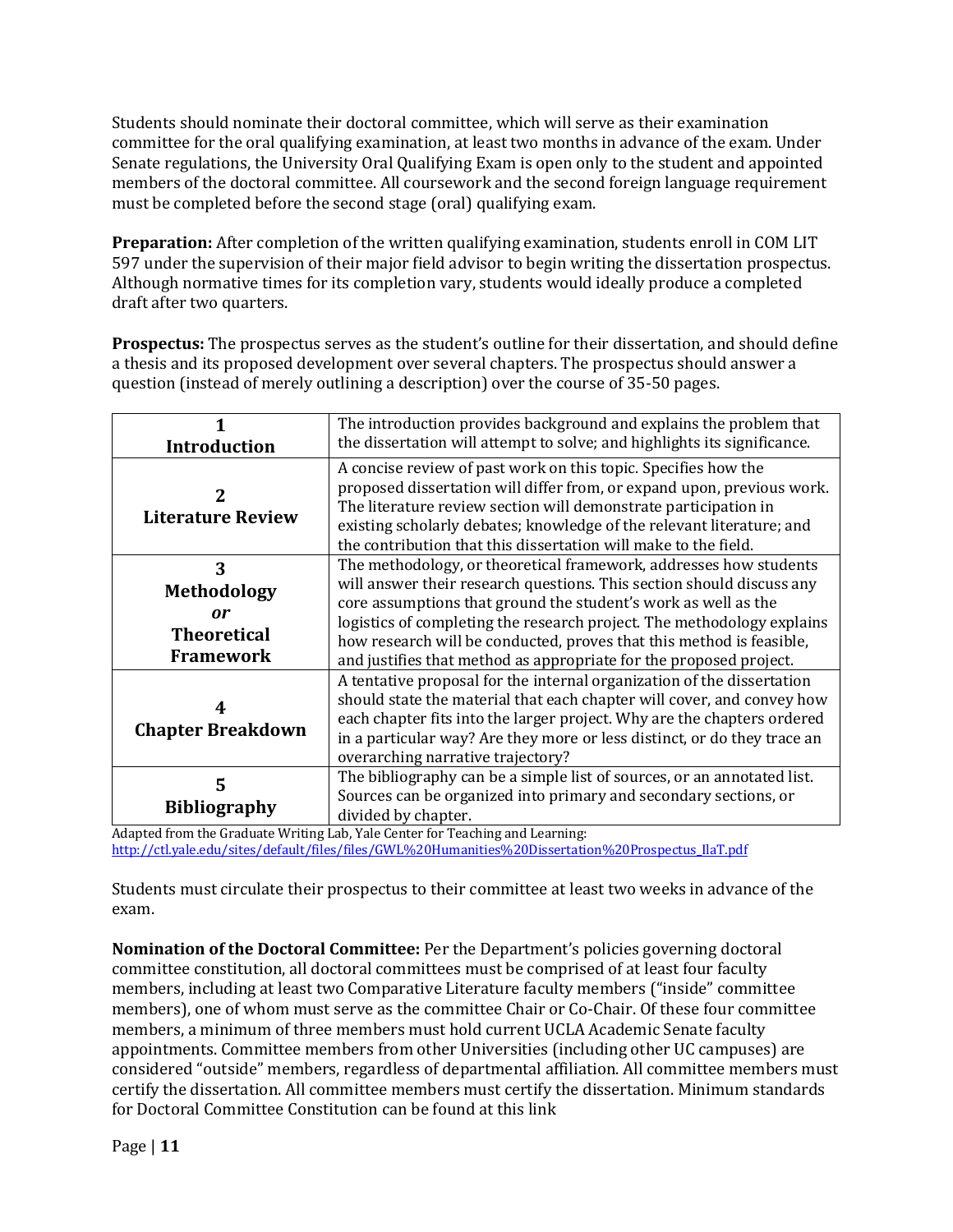Students should nominate their doctoral committee, which will serve as their examination committee for the oral qualifying examination, at least two months in advance of the exam. Under Senate regulations, the University Oral Qualifying Exam is open only to the student and appointed members of the doctoral committee. All coursework and the second foreign language requirement must be completed before the second stage (oral) qualifying exam.

**Preparation:** After completion of the written qualifying examination, students enroll in COM LIT 597 under the supervision of their major field advisor to begin writing the dissertation prospectus. Although normative times for its completion vary, students would ideally produce a completed draft after two quarters.

**Prospectus:** The prospectus serves as the student's outline for their dissertation, and should define a thesis and its proposed development over several chapters. The prospectus should answer a question (instead of merely outlining a description) over the course of 35-50 pages.

|                                                                         | The introduction provides background and explains the problem that                                                                                                                                                                                                                                                                                                                                                                   |
|-------------------------------------------------------------------------|--------------------------------------------------------------------------------------------------------------------------------------------------------------------------------------------------------------------------------------------------------------------------------------------------------------------------------------------------------------------------------------------------------------------------------------|
| <b>Introduction</b>                                                     | the dissertation will attempt to solve; and highlights its significance.                                                                                                                                                                                                                                                                                                                                                             |
| 2<br><b>Literature Review</b>                                           | A concise review of past work on this topic. Specifies how the<br>proposed dissertation will differ from, or expand upon, previous work.<br>The literature review section will demonstrate participation in<br>existing scholarly debates; knowledge of the relevant literature; and<br>the contribution that this dissertation will make to the field.                                                                              |
| 3<br><b>Methodology</b><br>or<br><b>Theoretical</b><br><b>Framework</b> | The methodology, or theoretical framework, addresses how students<br>will answer their research questions. This section should discuss any<br>core assumptions that ground the student's work as well as the<br>logistics of completing the research project. The methodology explains<br>how research will be conducted, proves that this method is feasible,<br>and justifies that method as appropriate for the proposed project. |
| <b>Chapter Breakdown</b>                                                | A tentative proposal for the internal organization of the dissertation<br>should state the material that each chapter will cover, and convey how<br>each chapter fits into the larger project. Why are the chapters ordered<br>in a particular way? Are they more or less distinct, or do they trace an<br>overarching narrative trajectory?                                                                                         |
| 5<br><b>Bibliography</b>                                                | The bibliography can be a simple list of sources, or an annotated list.<br>Sources can be organized into primary and secondary sections, or<br>divided by chapter.                                                                                                                                                                                                                                                                   |

Adapted from the Graduate Writing Lab, Yale Center for Teaching and Learning: http://ctl.yale.edu/sites/default/files/files/GWL%20Humanities%20Dissertation%20Prospectus\_IlaT.pdf

Students must circulate their prospectus to their committee at least two weeks in advance of the exam. 

**Nomination of the Doctoral Committee:** Per the Department's policies governing doctoral committee constitution, all doctoral committees must be comprised of at least four faculty members, including at least two Comparative Literature faculty members ("inside" committee members), one of whom must serve as the committee Chair or Co-Chair. Of these four committee members, a minimum of three members must hold current UCLA Academic Senate faculty appointments. Committee members from other Universities (including other UC campuses) are considered "outside" members, regardless of departmental affiliation. All committee members must certify the dissertation. All committee members must certify the dissertation. Minimum standards for Doctoral Committee Constitution can be found at this link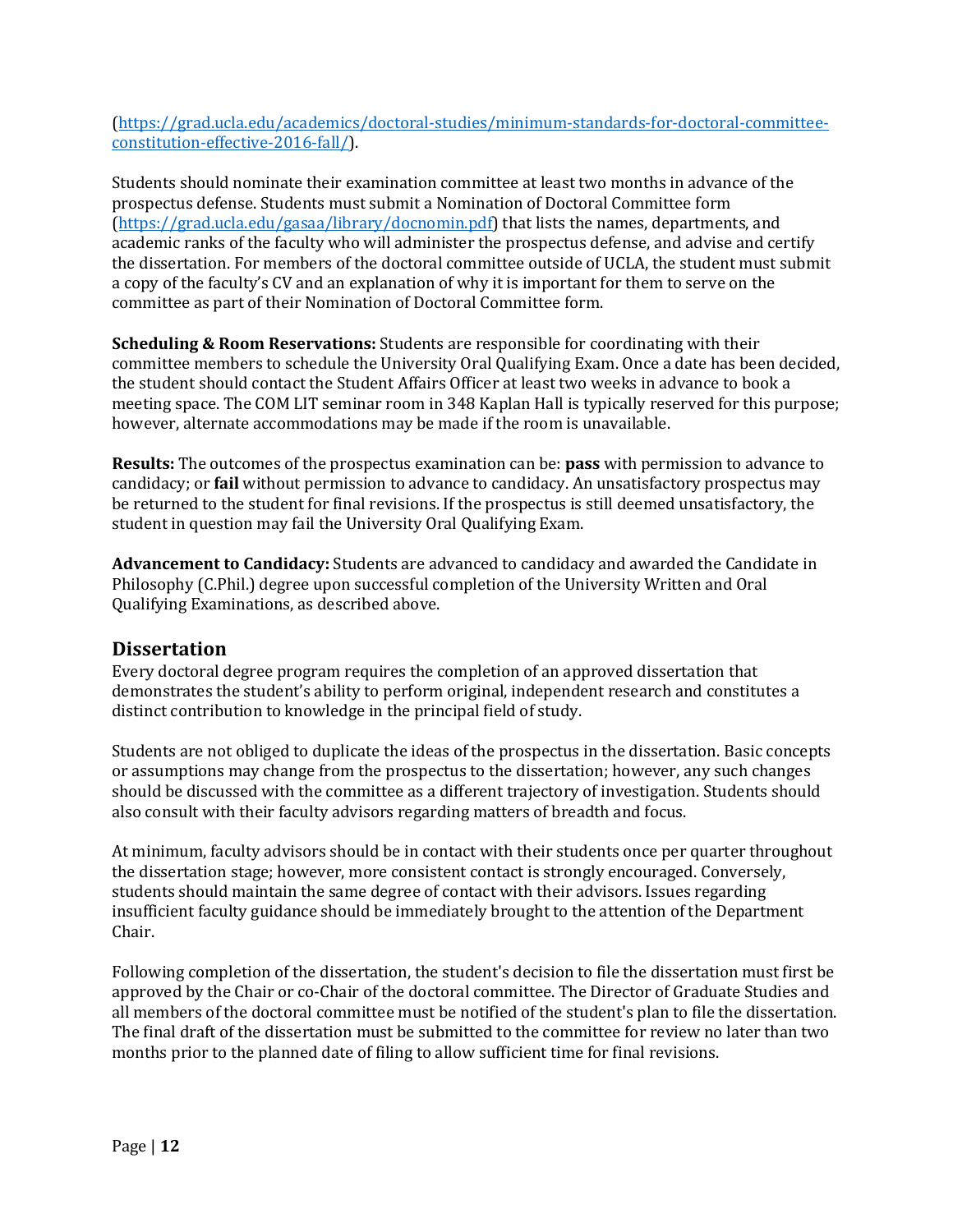(https://grad.ucla.edu/academics/doctoral-studies/minimum-standards-for-doctoral-committeeconstitution-effective-2016-fall/). 

Students should nominate their examination committee at least two months in advance of the prospectus defense. Students must submit a Nomination of Doctoral Committee form (https://grad.ucla.edu/gasaa/library/docnomin.pdf) that lists the names, departments, and academic ranks of the faculty who will administer the prospectus defense, and advise and certify the dissertation. For members of the doctoral committee outside of UCLA, the student must submit a copy of the faculty's CV and an explanation of why it is important for them to serve on the committee as part of their Nomination of Doctoral Committee form.

**Scheduling & Room Reservations:** Students are responsible for coordinating with their committee members to schedule the University Oral Qualifying Exam. Once a date has been decided, the student should contact the Student Affairs Officer at least two weeks in advance to book a meeting space. The COM LIT seminar room in 348 Kaplan Hall is typically reserved for this purpose; however, alternate accommodations may be made if the room is unavailable.

**Results:** The outcomes of the prospectus examination can be: **pass** with permission to advance to candidacy; or **fail** without permission to advance to candidacy. An unsatisfactory prospectus may be returned to the student for final revisions. If the prospectus is still deemed unsatisfactory, the student in question may fail the University Oral Qualifying Exam.

Advancement to Candidacy: Students are advanced to candidacy and awarded the Candidate in Philosophy (C.Phil.) degree upon successful completion of the University Written and Oral Qualifying Examinations, as described above.

## **Dissertation**

Every doctoral degree program requires the completion of an approved dissertation that demonstrates the student's ability to perform original, independent research and constitutes a distinct contribution to knowledge in the principal field of study.

Students are not obliged to duplicate the ideas of the prospectus in the dissertation. Basic concepts or assumptions may change from the prospectus to the dissertation; however, any such changes should be discussed with the committee as a different trajectory of investigation. Students should also consult with their faculty advisors regarding matters of breadth and focus.

At minimum, faculty advisors should be in contact with their students once per quarter throughout the dissertation stage; however, more consistent contact is strongly encouraged. Conversely, students should maintain the same degree of contact with their advisors. Issues regarding insufficient faculty guidance should be immediately brought to the attention of the Department Chair.

Following completion of the dissertation, the student's decision to file the dissertation must first be approved by the Chair or co-Chair of the doctoral committee. The Director of Graduate Studies and all members of the doctoral committee must be notified of the student's plan to file the dissertation. The final draft of the dissertation must be submitted to the committee for review no later than two months prior to the planned date of filing to allow sufficient time for final revisions.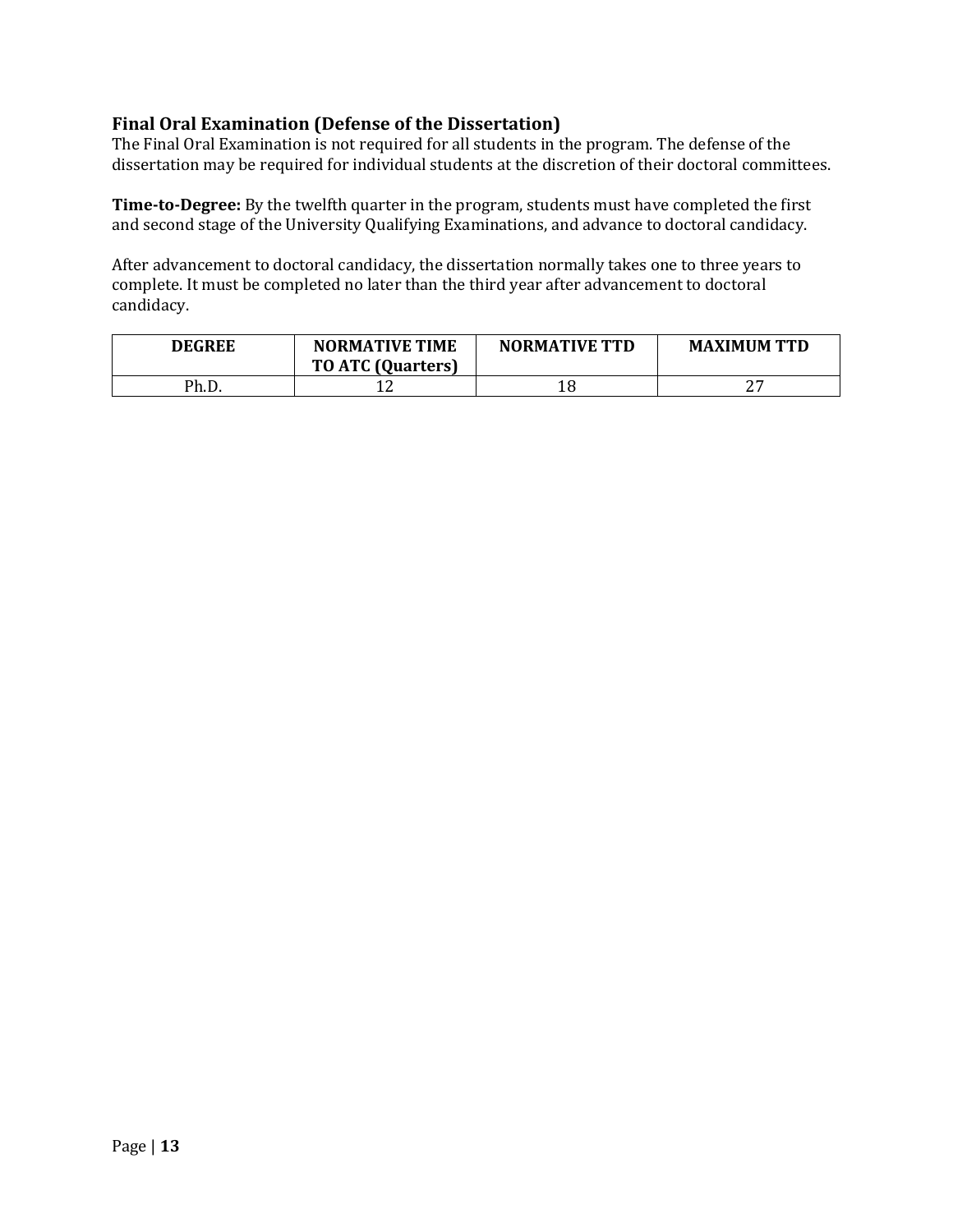## **Final Oral Examination (Defense of the Dissertation)**

The Final Oral Examination is not required for all students in the program. The defense of the dissertation may be required for individual students at the discretion of their doctoral committees.

**Time-to-Degree:** By the twelfth quarter in the program, students must have completed the first and second stage of the University Qualifying Examinations, and advance to doctoral candidacy.

After advancement to doctoral candidacy, the dissertation normally takes one to three years to complete. It must be completed no later than the third year after advancement to doctoral candidacy.

| <b>DEGREE</b> | <b>NORMATIVE TIME</b><br><b>TO ATC (Quarters)</b> | <b>NORMATIVE TTD</b> | <b>MAXIMUM TTD</b> |
|---------------|---------------------------------------------------|----------------------|--------------------|
| Ph.D.         | ⊥∠                                                |                      | חר                 |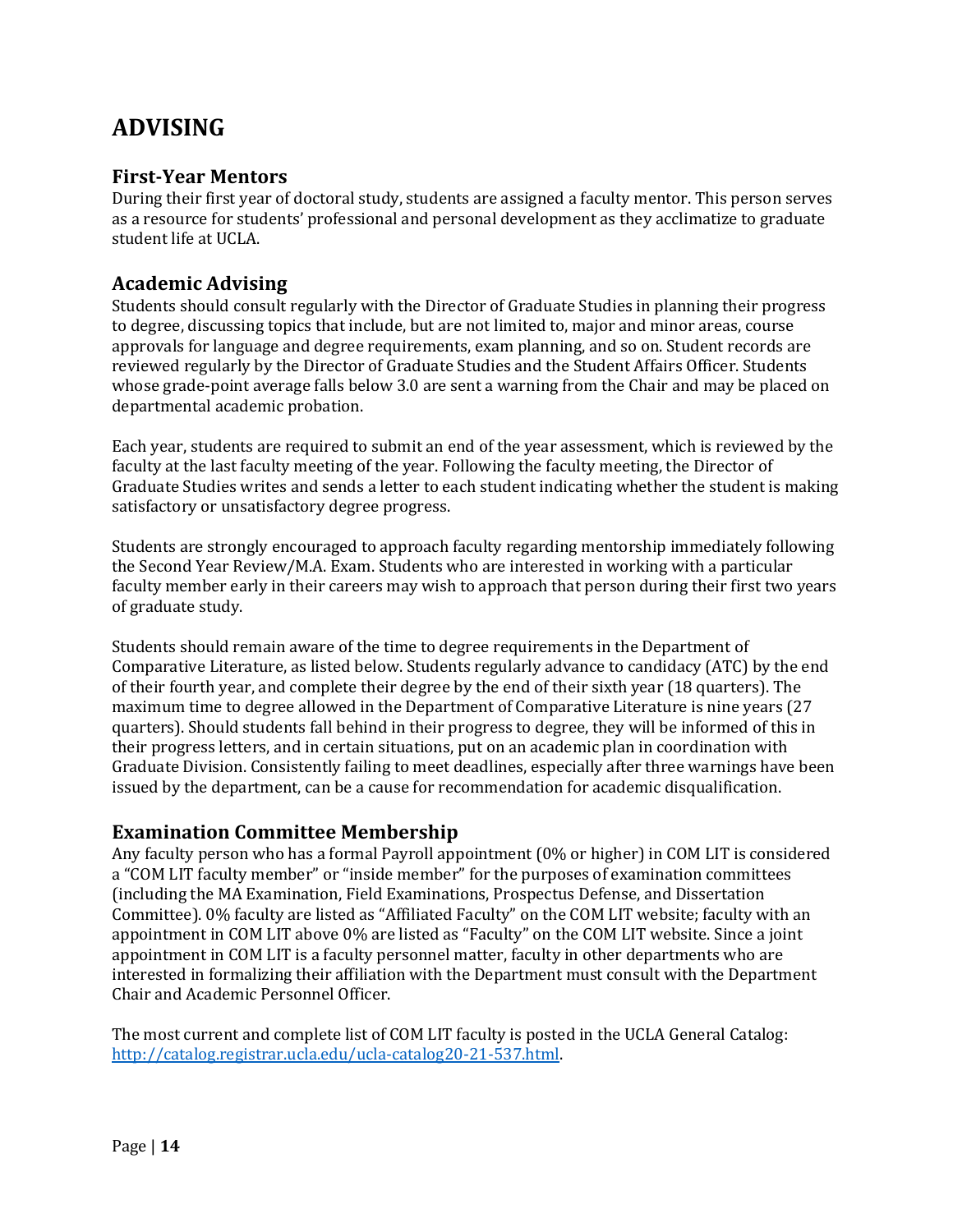# **ADVISING**

## **First-Year Mentors**

During their first year of doctoral study, students are assigned a faculty mentor. This person serves as a resource for students' professional and personal development as they acclimatize to graduate student life at UCLA.

## **Academic Advising**

Students should consult regularly with the Director of Graduate Studies in planning their progress to degree, discussing topics that include, but are not limited to, major and minor areas, course approvals for language and degree requirements, exam planning, and so on. Student records are reviewed regularly by the Director of Graduate Studies and the Student Affairs Officer. Students whose grade-point average falls below 3.0 are sent a warning from the Chair and may be placed on departmental academic probation.

Each year, students are required to submit an end of the year assessment, which is reviewed by the faculty at the last faculty meeting of the year. Following the faculty meeting, the Director of Graduate Studies writes and sends a letter to each student indicating whether the student is making satisfactory or unsatisfactory degree progress.

Students are strongly encouraged to approach faculty regarding mentorship immediately following the Second Year Review/M.A. Exam. Students who are interested in working with a particular faculty member early in their careers may wish to approach that person during their first two years of graduate study.

Students should remain aware of the time to degree requirements in the Department of Comparative Literature, as listed below. Students regularly advance to candidacy (ATC) by the end of their fourth year, and complete their degree by the end of their sixth year (18 quarters). The maximum time to degree allowed in the Department of Comparative Literature is nine years (27 quarters). Should students fall behind in their progress to degree, they will be informed of this in their progress letters, and in certain situations, put on an academic plan in coordination with Graduate Division. Consistently failing to meet deadlines, especially after three warnings have been issued by the department, can be a cause for recommendation for academic disqualification.

## **Examination Committee Membership**

Any faculty person who has a formal Payroll appointment  $(0\%$  or higher) in COM LIT is considered a "COM LIT faculty member" or "inside member" for the purposes of examination committees (including the MA Examination, Field Examinations, Prospectus Defense, and Dissertation Committee). 0% faculty are listed as "Affiliated Faculty" on the COM LIT website; faculty with an appointment in COM LIT above 0% are listed as "Faculty" on the COM LIT website. Since a joint appointment in COM LIT is a faculty personnel matter, faculty in other departments who are interested in formalizing their affiliation with the Department must consult with the Department Chair and Academic Personnel Officer.

The most current and complete list of COM LIT faculty is posted in the UCLA General Catalog: http://catalog.registrar.ucla.edu/ucla-catalog20-21-537.html.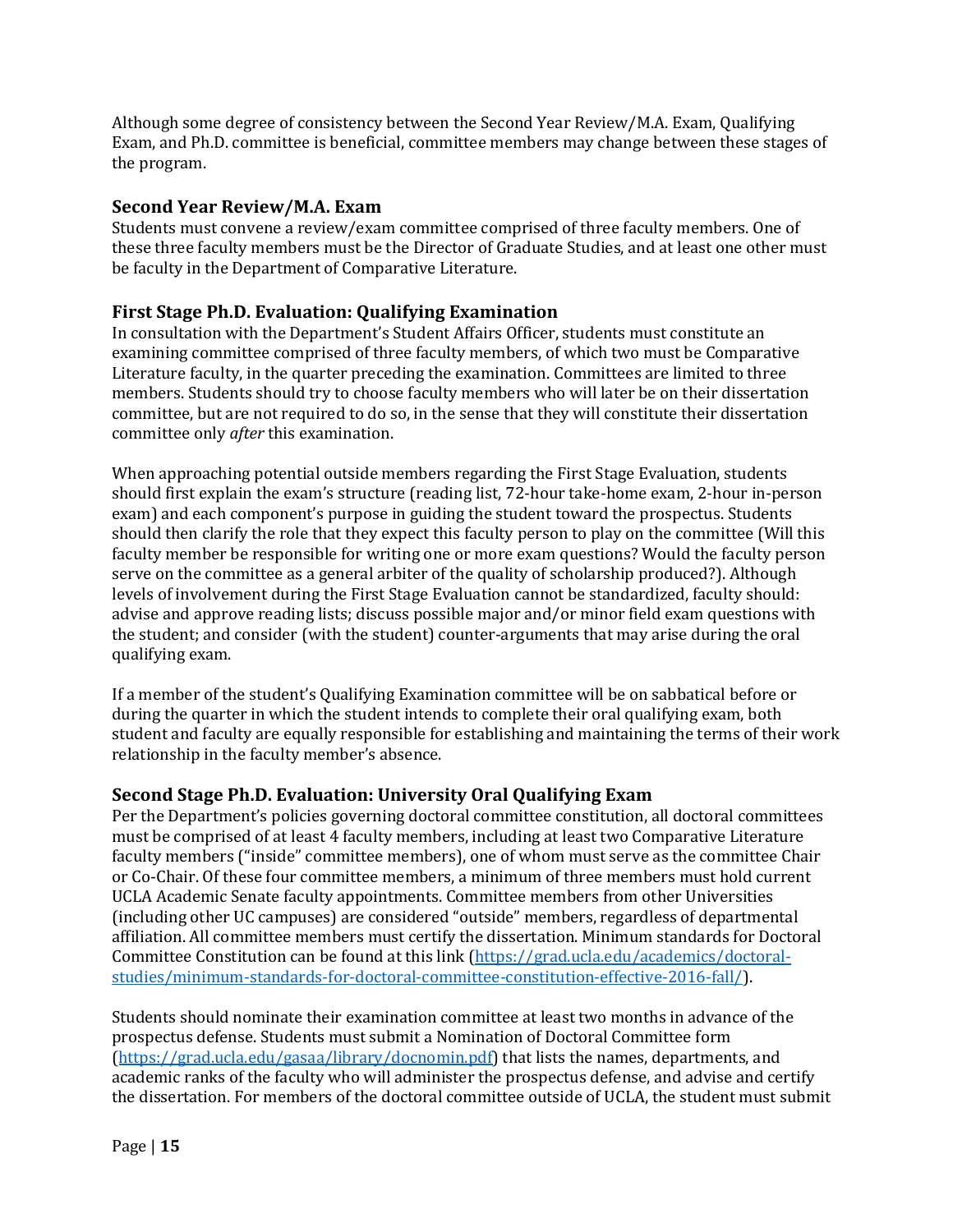Although some degree of consistency between the Second Year Review/M.A. Exam, Qualifying Exam, and Ph.D. committee is beneficial, committee members may change between these stages of the program.

#### **Second Year Review/M.A. Exam**

Students must convene a review/exam committee comprised of three faculty members. One of these three faculty members must be the Director of Graduate Studies, and at least one other must be faculty in the Department of Comparative Literature.

## **First Stage Ph.D. Evaluation: Qualifying Examination**

In consultation with the Department's Student Affairs Officer, students must constitute an examining committee comprised of three faculty members, of which two must be Comparative Literature faculty, in the quarter preceding the examination. Committees are limited to three members. Students should try to choose faculty members who will later be on their dissertation committee, but are not required to do so, in the sense that they will constitute their dissertation committee only *after* this examination.

When approaching potential outside members regarding the First Stage Evaluation, students should first explain the exam's structure (reading list, 72-hour take-home exam, 2-hour in-person exam) and each component's purpose in guiding the student toward the prospectus. Students should then clarify the role that they expect this faculty person to play on the committee (Will this faculty member be responsible for writing one or more exam questions? Would the faculty person serve on the committee as a general arbiter of the quality of scholarship produced?). Although levels of involvement during the First Stage Evaluation cannot be standardized, faculty should: advise and approve reading lists; discuss possible major and/or minor field exam questions with the student; and consider (with the student) counter-arguments that may arise during the oral qualifying exam.

If a member of the student's Qualifying Examination committee will be on sabbatical before or during the quarter in which the student intends to complete their oral qualifying exam, both student and faculty are equally responsible for establishing and maintaining the terms of their work relationship in the faculty member's absence.

## **Second Stage Ph.D. Evaluation: University Oral Qualifying Exam**

Per the Department's policies governing doctoral committee constitution, all doctoral committees must be comprised of at least 4 faculty members, including at least two Comparative Literature faculty members ("inside" committee members), one of whom must serve as the committee Chair or Co-Chair. Of these four committee members, a minimum of three members must hold current UCLA Academic Senate faculty appointments. Committee members from other Universities (including other UC campuses) are considered "outside" members, regardless of departmental affiliation. All committee members must certify the dissertation. Minimum standards for Doctoral Committee Constitution can be found at this link (https://grad.ucla.edu/academics/doctoralstudies/minimum-standards-for-doctoral-committee-constitution-effective-2016-fall/).

Students should nominate their examination committee at least two months in advance of the prospectus defense. Students must submit a Nomination of Doctoral Committee form  $(\text{https://grad.ucla.edu/gasaa/library/docomin.pdf})$  that lists the names, departments, and academic ranks of the faculty who will administer the prospectus defense, and advise and certify the dissertation. For members of the doctoral committee outside of UCLA, the student must submit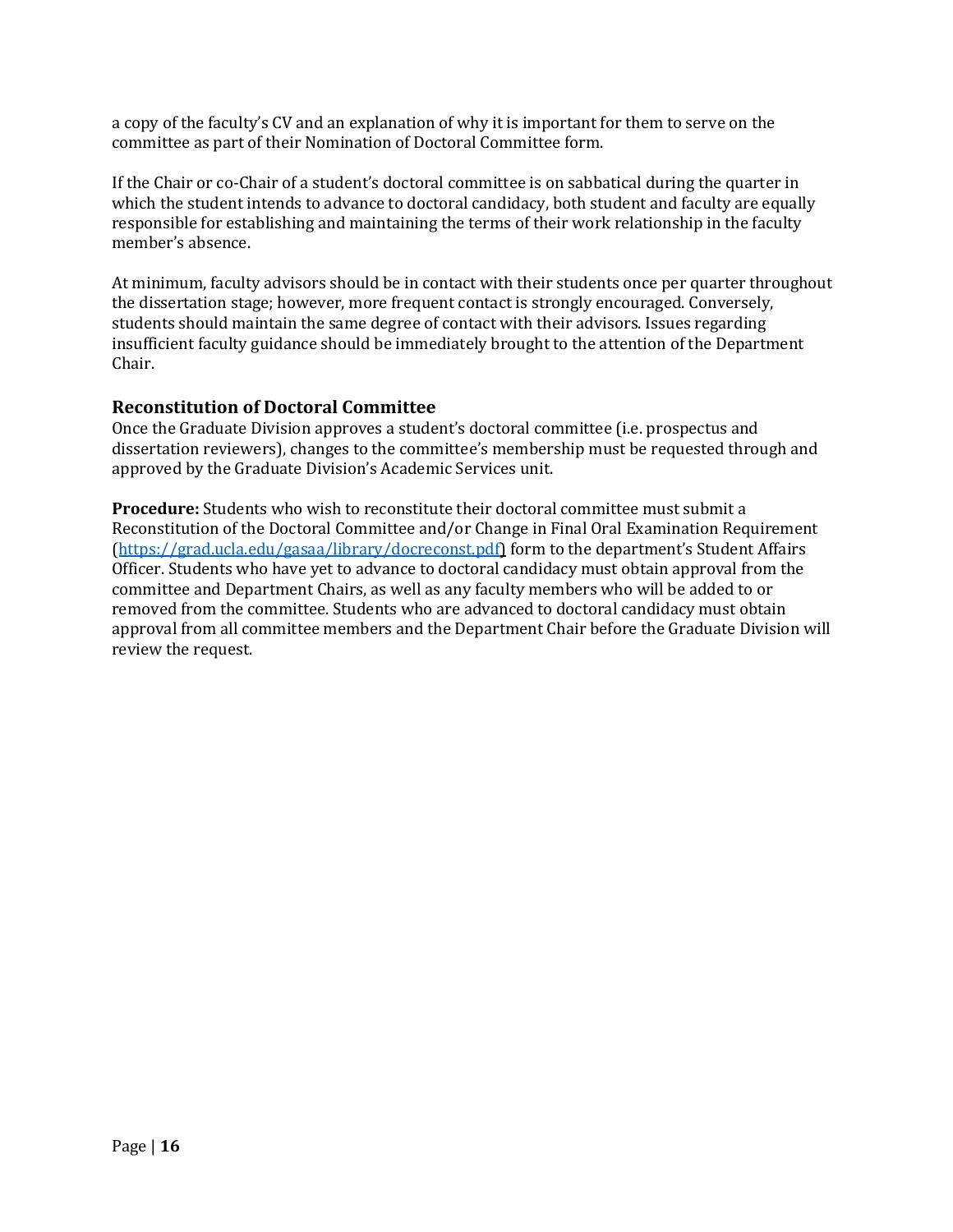a copy of the faculty's CV and an explanation of why it is important for them to serve on the committee as part of their Nomination of Doctoral Committee form.

If the Chair or co-Chair of a student's doctoral committee is on sabbatical during the quarter in which the student intends to advance to doctoral candidacy, both student and faculty are equally responsible for establishing and maintaining the terms of their work relationship in the faculty member's absence.

At minimum, faculty advisors should be in contact with their students once per quarter throughout the dissertation stage; however, more frequent contact is strongly encouraged. Conversely, students should maintain the same degree of contact with their advisors. Issues regarding insufficient faculty guidance should be immediately brought to the attention of the Department Chair.

#### **Reconstitution of Doctoral Committee**

Once the Graduate Division approves a student's doctoral committee (i.e. prospectus and dissertation reviewers), changes to the committee's membership must be requested through and approved by the Graduate Division's Academic Services unit.

**Procedure:** Students who wish to reconstitute their doctoral committee must submit a Reconstitution of the Doctoral Committee and/or Change in Final Oral Examination Requirement  $(\text{https://grad.ucla.edu/gasaa/library/docreconst.pdf})$  form to the department's Student Affairs Officer. Students who have yet to advance to doctoral candidacy must obtain approval from the committee and Department Chairs, as well as any faculty members who will be added to or removed from the committee. Students who are advanced to doctoral candidacy must obtain approval from all committee members and the Department Chair before the Graduate Division will review the request.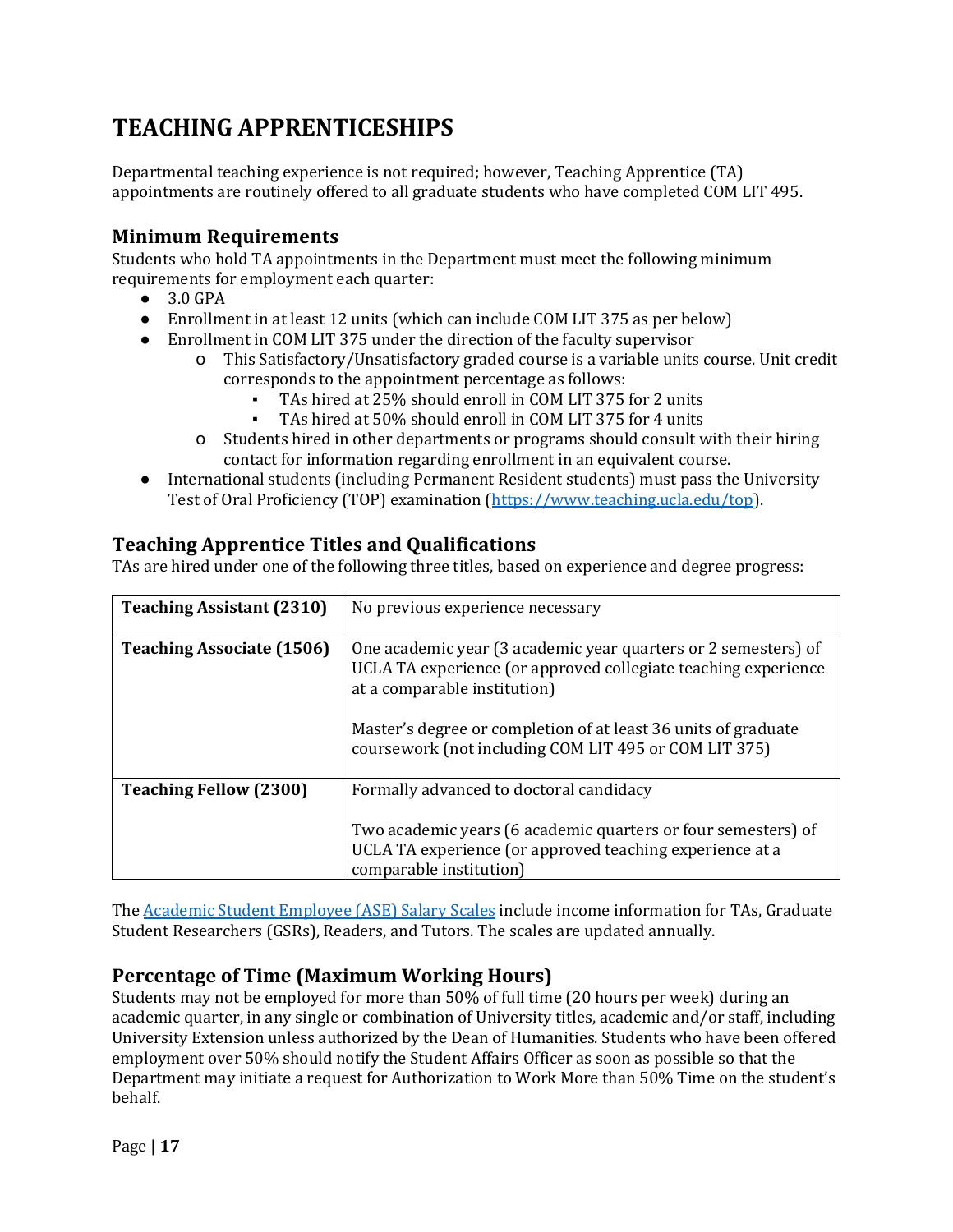# **TEACHING APPRENTICESHIPS**

Departmental teaching experience is not required; however, Teaching Apprentice (TA) appointments are routinely offered to all graduate students who have completed COM LIT 495.

## **Minimum Requirements**

Students who hold TA appointments in the Department must meet the following minimum requirements for employment each quarter:

- 3.0 GPA
- Enrollment in at least 12 units (which can include COM LIT 375 as per below)
- Enrollment in COM LIT 375 under the direction of the faculty supervisor
	- o This Satisfactory/Unsatisfactory graded course is a variable units course. Unit credit corresponds to the appointment percentage as follows:
		- TAs hired at 25% should enroll in COM LIT 375 for 2 units
		- TAs hired at 50% should enroll in COM LIT 375 for 4 units
	- o Students hired in other departments or programs should consult with their hiring contact for information regarding enrollment in an equivalent course.
- International students (including Permanent Resident students) must pass the University Test of Oral Proficiency (TOP) examination (https://www.teaching.ucla.edu/top).

## **Teaching Apprentice Titles and Qualifications**

TAs are hired under one of the following three titles, based on experience and degree progress:

| <b>Teaching Assistant (2310)</b> | No previous experience necessary                                                                                                                                 |
|----------------------------------|------------------------------------------------------------------------------------------------------------------------------------------------------------------|
| <b>Teaching Associate (1506)</b> | One academic year (3 academic year quarters or 2 semesters) of<br>UCLA TA experience (or approved collegiate teaching experience<br>at a comparable institution) |
|                                  | Master's degree or completion of at least 36 units of graduate<br>coursework (not including COM LIT 495 or COM LIT 375)                                          |
| <b>Teaching Fellow (2300)</b>    | Formally advanced to doctoral candidacy                                                                                                                          |
|                                  | Two academic years (6 academic quarters or four semesters) of<br>UCLA TA experience (or approved teaching experience at a<br>comparable institution)             |

The Academic Student Employee (ASE) Salary Scales include income information for TAs, Graduate Student Researchers (GSRs), Readers, and Tutors. The scales are updated annually.

## **Percentage of Time (Maximum Working Hours)**

Students may not be employed for more than 50% of full time (20 hours per week) during an academic quarter, in any single or combination of University titles, academic and/or staff, including University Extension unless authorized by the Dean of Humanities. Students who have been offered employment over 50% should notify the Student Affairs Officer as soon as possible so that the Department may initiate a request for Authorization to Work More than 50% Time on the student's behalf.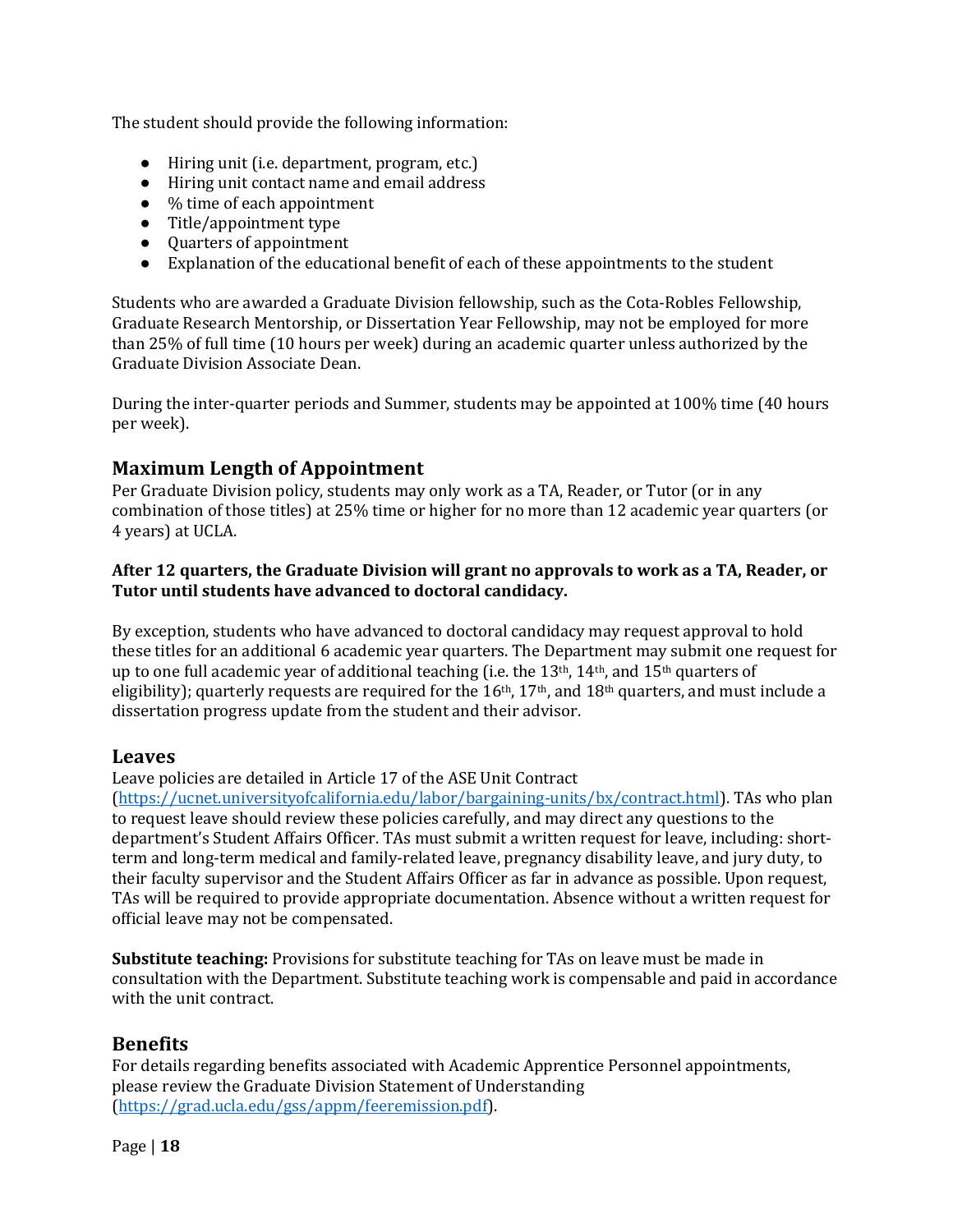The student should provide the following information:

- Hiring unit (i.e. department, program, etc.)
- Hiring unit contact name and email address
- $\bullet$  % time of each appointment
- $\bullet$  Title/appointment type
- Quarters of appointment
- $\bullet$  Explanation of the educational benefit of each of these appointments to the student

Students who are awarded a Graduate Division fellowship, such as the Cota-Robles Fellowship, Graduate Research Mentorship, or Dissertation Year Fellowship, may not be employed for more than 25% of full time (10 hours per week) during an academic quarter unless authorized by the Graduate Division Associate Dean. 

During the inter-quarter periods and Summer, students may be appointed at 100% time (40 hours per week).

## **Maximum Length of Appointment**

Per Graduate Division policy, students may only work as a TA, Reader, or Tutor (or in any combination of those titles) at 25% time or higher for no more than 12 academic year quarters (or 4 years) at UCLA.

#### After 12 quarters, the Graduate Division will grant no approvals to work as a TA, Reader, or Tutor until students have advanced to doctoral candidacy.

By exception, students who have advanced to doctoral candidacy may request approval to hold these titles for an additional 6 academic year quarters. The Department may submit one request for up to one full academic year of additional teaching (i.e. the  $13<sup>th</sup>$ ,  $14<sup>th</sup>$ , and  $15<sup>th</sup>$  quarters of eligibility); quarterly requests are required for the  $16th$ ,  $17th$ , and  $18th$  quarters, and must include a dissertation progress update from the student and their advisor.

#### **Leaves**

Leave policies are detailed in Article 17 of the ASE Unit Contract

(https://ucnet.universityofcalifornia.edu/labor/bargaining-units/bx/contract.html). TAs who plan to request leave should review these policies carefully, and may direct any questions to the department's Student Affairs Officer. TAs must submit a written request for leave, including: shortterm and long-term medical and family-related leave, pregnancy disability leave, and jury duty, to their faculty supervisor and the Student Affairs Officer as far in advance as possible. Upon request, TAs will be required to provide appropriate documentation. Absence without a written request for official leave may not be compensated.

**Substitute teaching:** Provisions for substitute teaching for TAs on leave must be made in consultation with the Department. Substitute teaching work is compensable and paid in accordance with the unit contract.

## **Benefits**

For details regarding benefits associated with Academic Apprentice Personnel appointments, please review the Graduate Division Statement of Understanding (https://grad.ucla.edu/gss/appm/feeremission.pdf).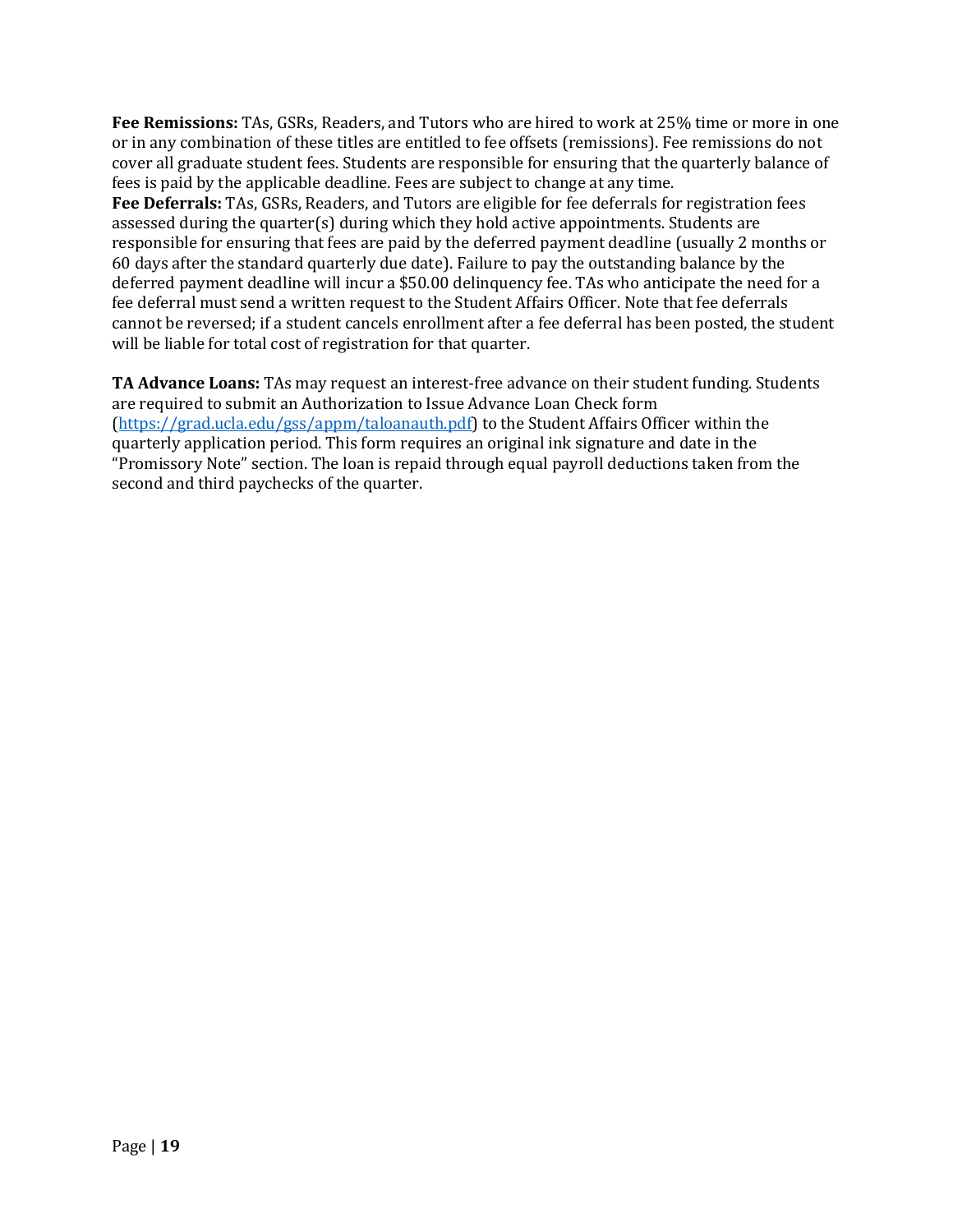**Fee Remissions:** TAs, GSRs, Readers, and Tutors who are hired to work at 25% time or more in one or in any combination of these titles are entitled to fee offsets (remissions). Fee remissions do not cover all graduate student fees. Students are responsible for ensuring that the quarterly balance of fees is paid by the applicable deadline. Fees are subject to change at any time. **Fee Deferrals:** TAs, GSRs, Readers, and Tutors are eligible for fee deferrals for registration fees assessed during the quarter(s) during which they hold active appointments. Students are responsible for ensuring that fees are paid by the deferred payment deadline (usually 2 months or 60 days after the standard quarterly due date). Failure to pay the outstanding balance by the deferred payment deadline will incur a \$50.00 delinquency fee. TAs who anticipate the need for a fee deferral must send a written request to the Student Affairs Officer. Note that fee deferrals cannot be reversed; if a student cancels enrollment after a fee deferral has been posted, the student will be liable for total cost of registration for that quarter.

**TA Advance Loans:** TAs may request an interest-free advance on their student funding. Students are required to submit an Authorization to Issue Advance Loan Check form  $(\text{https://grad.ucla.edu/gss/appm/taloanauth.pdf})$  to the Student Affairs Officer within the quarterly application period. This form requires an original ink signature and date in the "Promissory Note" section. The loan is repaid through equal payroll deductions taken from the second and third paychecks of the quarter.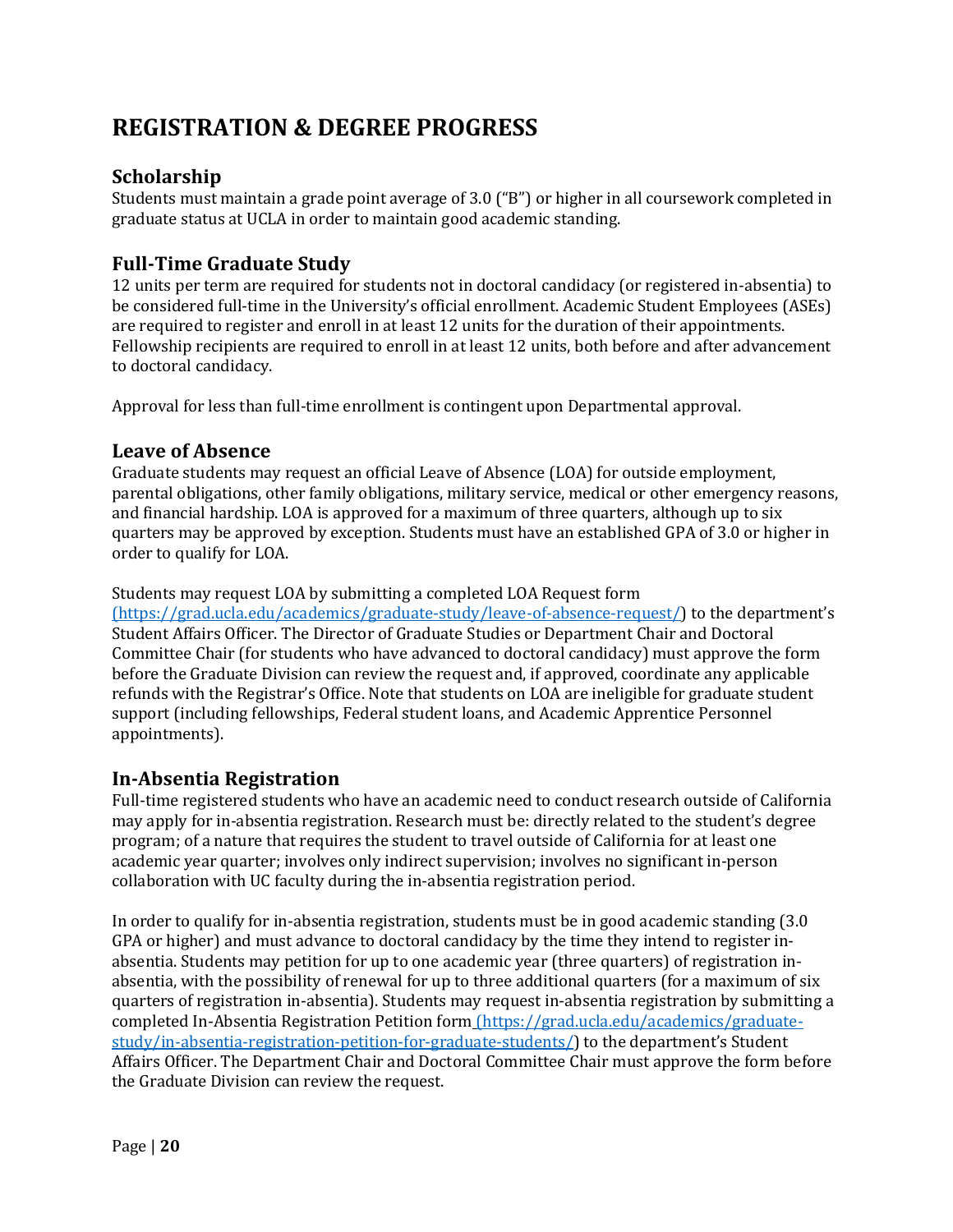# **REGISTRATION & DEGREE PROGRESS**

## **Scholarship**

Students must maintain a grade point average of  $3.0$  ("B") or higher in all coursework completed in graduate status at UCLA in order to maintain good academic standing.

## **Full-Time Graduate Study**

12 units per term are required for students not in doctoral candidacy (or registered in-absentia) to be considered full-time in the University's official enrollment. Academic Student Employees (ASEs) are required to register and enroll in at least 12 units for the duration of their appointments. Fellowship recipients are required to enroll in at least 12 units, both before and after advancement to doctoral candidacy.

Approval for less than full-time enrollment is contingent upon Departmental approval.

## Leave of Absence

Graduate students may request an official Leave of Absence (LOA) for outside employment, parental obligations, other family obligations, military service, medical or other emergency reasons, and financial hardship. LOA is approved for a maximum of three quarters, although up to six quarters may be approved by exception. Students must have an established GPA of 3.0 or higher in order to qualify for LOA.

#### Students may request LOA by submitting a completed LOA Request form

 $(\text{https://grad.ucla.edu/academics/graduate-study/leave-of-absence-request/})$  to the department's Student Affairs Officer. The Director of Graduate Studies or Department Chair and Doctoral Committee Chair (for students who have advanced to doctoral candidacy) must approve the form before the Graduate Division can review the request and, if approved, coordinate any applicable refunds with the Registrar's Office. Note that students on LOA are ineligible for graduate student support (including fellowships, Federal student loans, and Academic Apprentice Personnel appointments).

## **In-Absentia Registration**

Full-time registered students who have an academic need to conduct research outside of California may apply for in-absentia registration. Research must be: directly related to the student's degree program; of a nature that requires the student to travel outside of California for at least one academic year quarter; involves only indirect supervision; involves no significant in-person collaboration with UC faculty during the in-absentia registration period.

In order to qualify for in-absentia registration, students must be in good academic standing (3.0) GPA or higher) and must advance to doctoral candidacy by the time they intend to register inabsentia. Students may petition for up to one academic year (three quarters) of registration inabsentia, with the possibility of renewal for up to three additional quarters (for a maximum of six quarters of registration in-absentia). Students may request in-absentia registration by submitting a completed In-Absentia Registration Petition form (https://grad.ucla.edu/academics/graduatestudy/in-absentia-registration-petition-for-graduate-students/) to the department's Student Affairs Officer. The Department Chair and Doctoral Committee Chair must approve the form before the Graduate Division can review the request.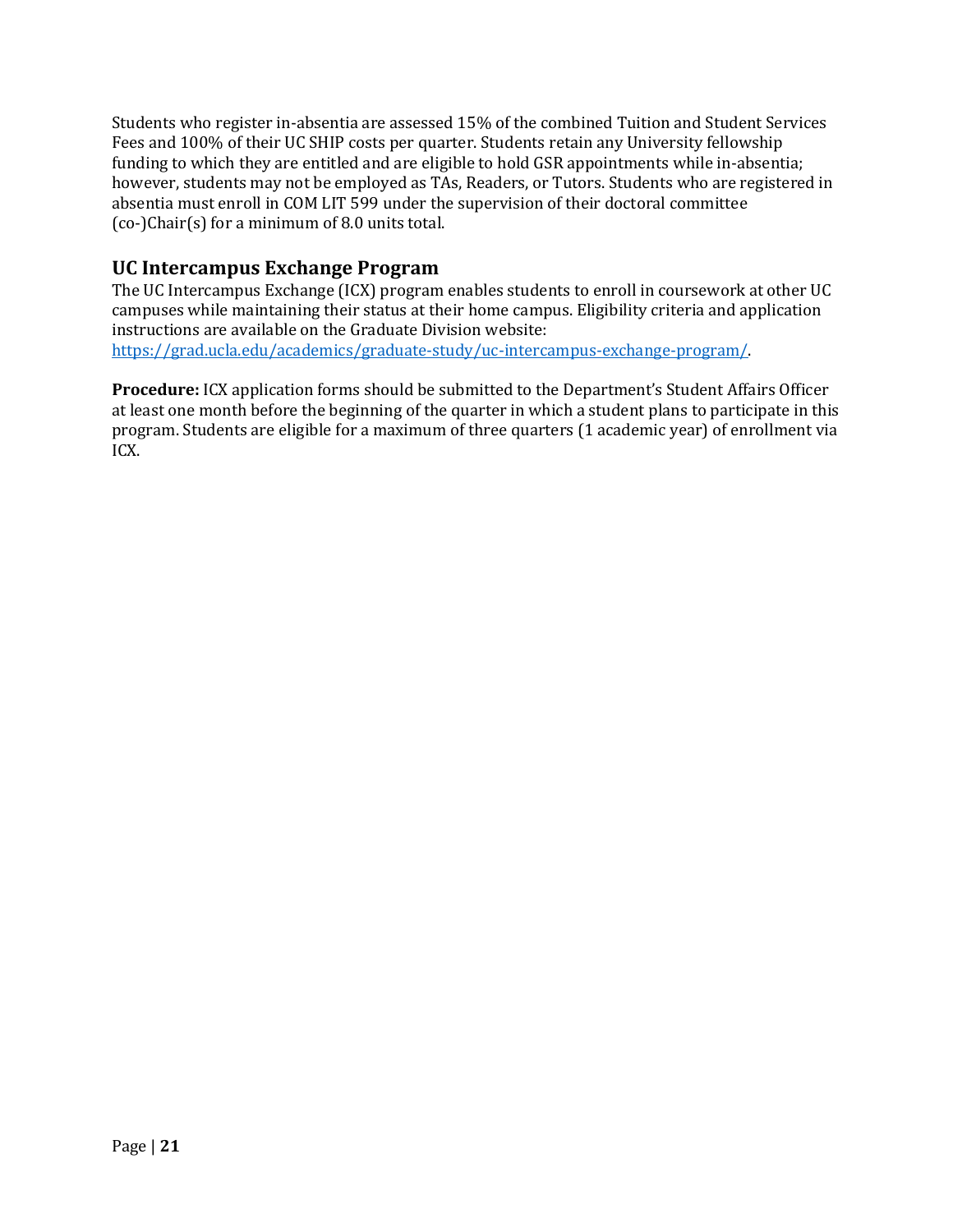Students who register in-absentia are assessed 15% of the combined Tuition and Student Services Fees and 100% of their UC SHIP costs per quarter. Students retain any University fellowship funding to which they are entitled and are eligible to hold GSR appointments while in-absentia; however, students may not be employed as TAs, Readers, or Tutors. Students who are registered in absentia must enroll in COM LIT 599 under the supervision of their doctoral committee  $(co-)Chair(s)$  for a minimum of 8.0 units total.

## **UC Intercampus Exchange Program**

The UC Intercampus Exchange (ICX) program enables students to enroll in coursework at other UC campuses while maintaining their status at their home campus. Eligibility criteria and application instructions are available on the Graduate Division website: https://grad.ucla.edu/academics/graduate-study/uc-intercampus-exchange-program/. 

**Procedure:** ICX application forms should be submitted to the Department's Student Affairs Officer at least one month before the beginning of the quarter in which a student plans to participate in this program. Students are eligible for a maximum of three quarters (1 academic year) of enrollment via ICX.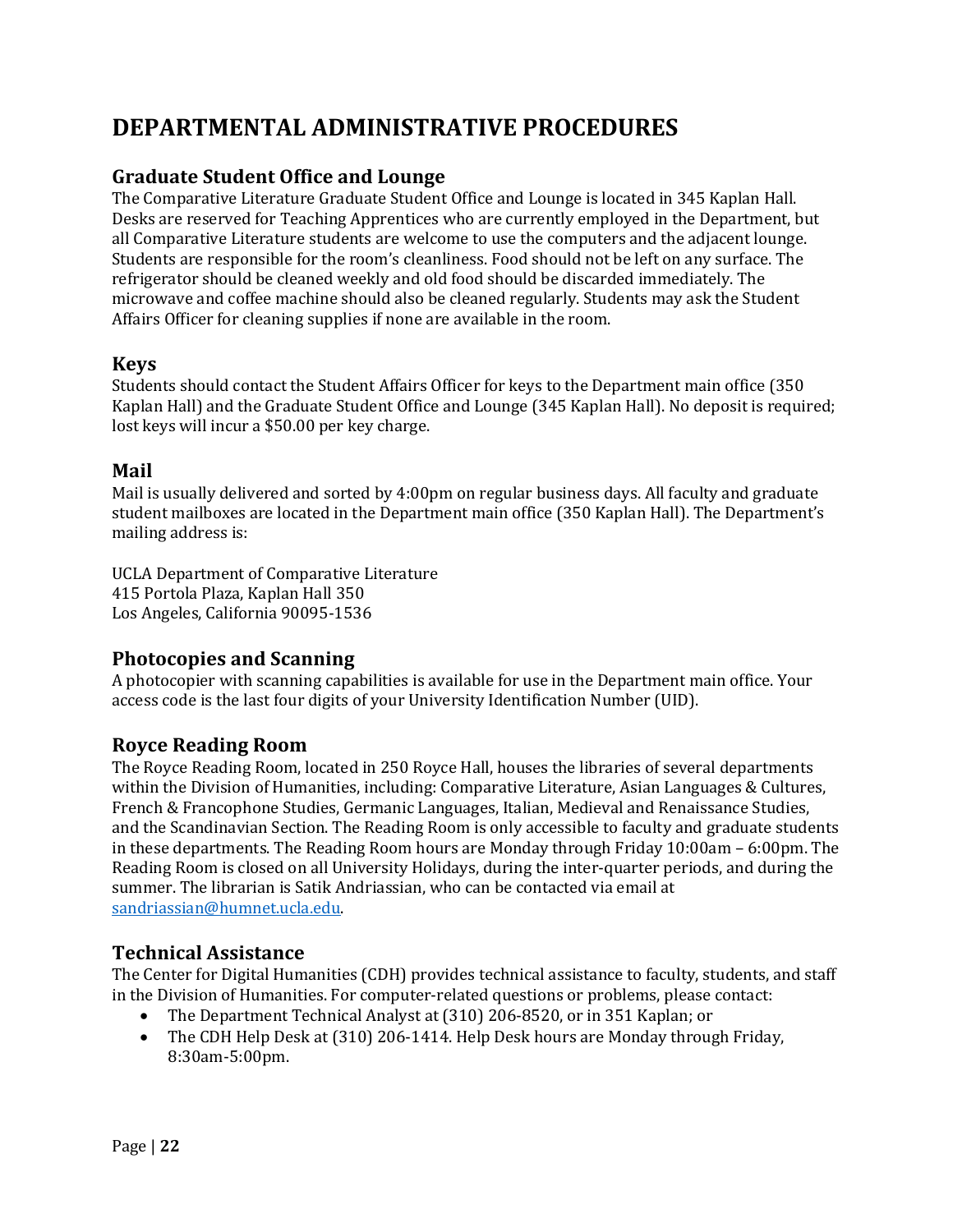# **DEPARTMENTAL ADMINISTRATIVE PROCEDURES**

## **Graduate Student Office and Lounge**

The Comparative Literature Graduate Student Office and Lounge is located in 345 Kaplan Hall. Desks are reserved for Teaching Apprentices who are currently employed in the Department, but all Comparative Literature students are welcome to use the computers and the adjacent lounge. Students are responsible for the room's cleanliness. Food should not be left on any surface. The refrigerator should be cleaned weekly and old food should be discarded immediately. The microwave and coffee machine should also be cleaned regularly. Students may ask the Student Affairs Officer for cleaning supplies if none are available in the room.

#### **Keys**

Students should contact the Student Affairs Officer for keys to the Department main office (350) Kaplan Hall) and the Graduate Student Office and Lounge (345 Kaplan Hall). No deposit is required; lost keys will incur a \$50.00 per key charge.

#### **Mail**

Mail is usually delivered and sorted by 4:00pm on regular business days. All faculty and graduate student mailboxes are located in the Department main office (350 Kaplan Hall). The Department's mailing address is:

UCLA Department of Comparative Literature 415 Portola Plaza, Kaplan Hall 350 Los Angeles, California 90095-1536

## **Photocopies and Scanning**

A photocopier with scanning capabilities is available for use in the Department main office. Your access code is the last four digits of your University Identification Number (UID).

## **Royce Reading Room**

The Royce Reading Room, located in 250 Royce Hall, houses the libraries of several departments within the Division of Humanities, including: Comparative Literature, Asian Languages & Cultures, French & Francophone Studies, Germanic Languages, Italian, Medieval and Renaissance Studies, and the Scandinavian Section. The Reading Room is only accessible to faculty and graduate students in these departments. The Reading Room hours are Monday through Friday  $10:00$ am – 6:00pm. The Reading Room is closed on all University Holidays, during the inter-quarter periods, and during the summer. The librarian is Satik Andriassian, who can be contacted via email at sandriassian@humnet.ucla.edu.

## **Technical Assistance**

The Center for Digital Humanities (CDH) provides technical assistance to faculty, students, and staff in the Division of Humanities. For computer-related questions or problems, please contact:

- The Department Technical Analyst at (310) 206-8520, or in 351 Kaplan; or
- The CDH Help Desk at (310) 206-1414. Help Desk hours are Monday through Friday, 8:30am-5:00pm.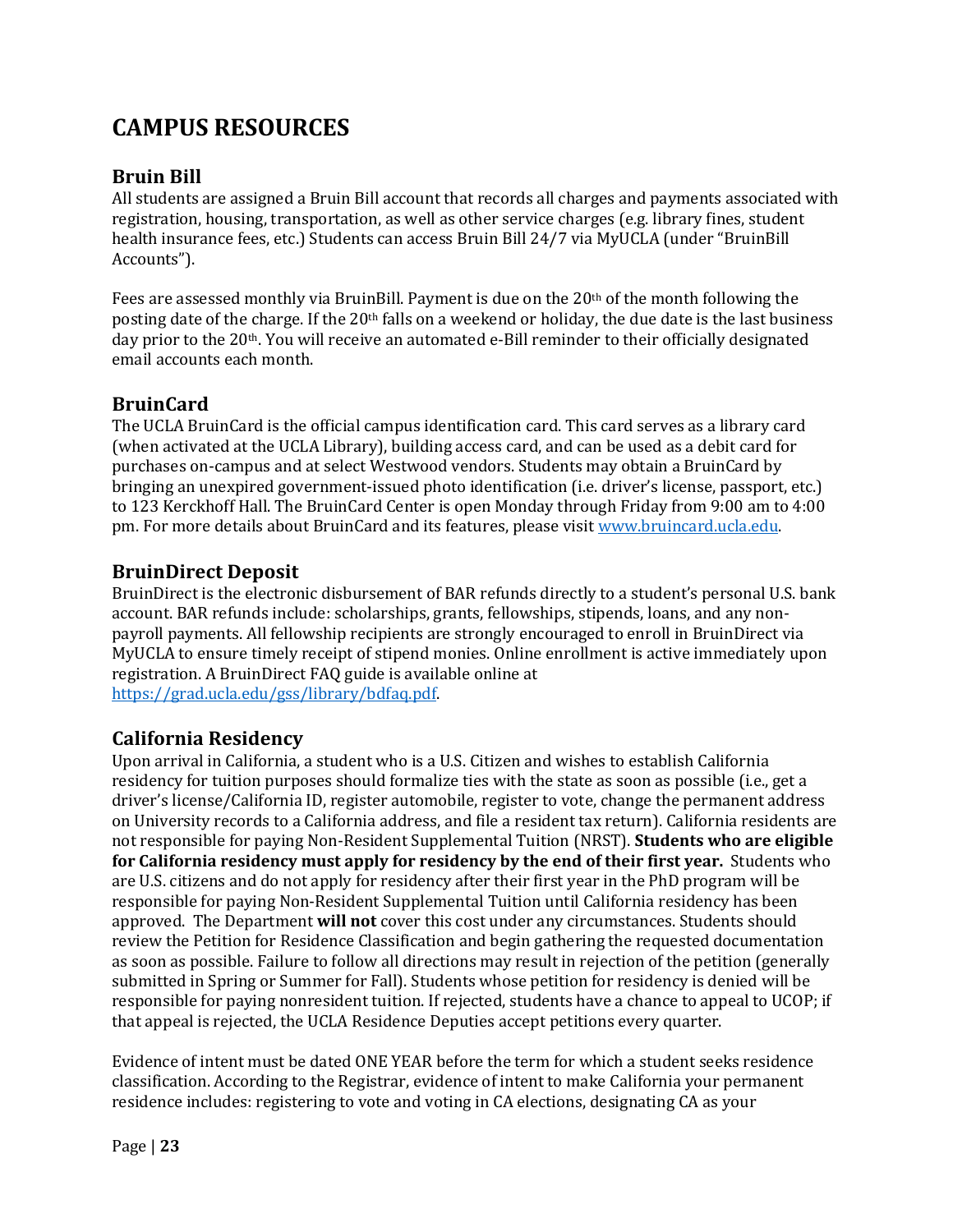# **CAMPUS RESOURCES**

## **Bruin Bill**

All students are assigned a Bruin Bill account that records all charges and payments associated with registration, housing, transportation, as well as other service charges (e.g. library fines, student health insurance fees, etc.) Students can access Bruin Bill 24/7 via MyUCLA (under "BruinBill Accounts"). 

Fees are assessed monthly via BruinBill. Payment is due on the  $20<sup>th</sup>$  of the month following the posting date of the charge. If the  $20<sup>th</sup>$  falls on a weekend or holiday, the due date is the last business day prior to the 20<sup>th</sup>. You will receive an automated e-Bill reminder to their officially designated email accounts each month.

## **BruinCard**

The UCLA BruinCard is the official campus identification card. This card serves as a library card (when activated at the UCLA Library), building access card, and can be used as a debit card for purchases on-campus and at select Westwood vendors. Students may obtain a BruinCard by bringing an unexpired government-issued photo identification (i.e. driver's license, passport, etc.) to 123 Kerckhoff Hall. The BruinCard Center is open Monday through Friday from 9:00 am to 4:00 pm. For more details about BruinCard and its features, please visit www.bruincard.ucla.edu.

## **BruinDirect Deposit**

BruinDirect is the electronic disbursement of BAR refunds directly to a student's personal U.S. bank account. BAR refunds include: scholarships, grants, fellowships, stipends, loans, and any nonpayroll payments. All fellowship recipients are strongly encouraged to enroll in BruinDirect via MyUCLA to ensure timely receipt of stipend monies. Online enrollment is active immediately upon registration. A BruinDirect FAQ guide is available online at https://grad.ucla.edu/gss/library/bdfaq.pdf. 

## **California Residency**

Upon arrival in California, a student who is a U.S. Citizen and wishes to establish California residency for tuition purposes should formalize ties with the state as soon as possible (i.e., get a driver's license/California ID, register automobile, register to vote, change the permanent address on University records to a California address, and file a resident tax return). California residents are not responsible for paying Non-Resident Supplemental Tuition (NRST). **Students who are eligible for California residency must apply for residency by the end of their first year.** Students who are U.S. citizens and do not apply for residency after their first year in the PhD program will be responsible for paying Non-Resident Supplemental Tuition until California residency has been approved. The Department will not cover this cost under any circumstances. Students should review the Petition for Residence Classification and begin gathering the requested documentation as soon as possible. Failure to follow all directions may result in rejection of the petition (generally submitted in Spring or Summer for Fall). Students whose petition for residency is denied will be responsible for paying nonresident tuition. If rejected, students have a chance to appeal to UCOP; if that appeal is rejected, the UCLA Residence Deputies accept petitions every quarter.

Evidence of intent must be dated ONE YEAR before the term for which a student seeks residence classification. According to the Registrar, evidence of intent to make California your permanent residence includes: registering to vote and voting in CA elections, designating CA as your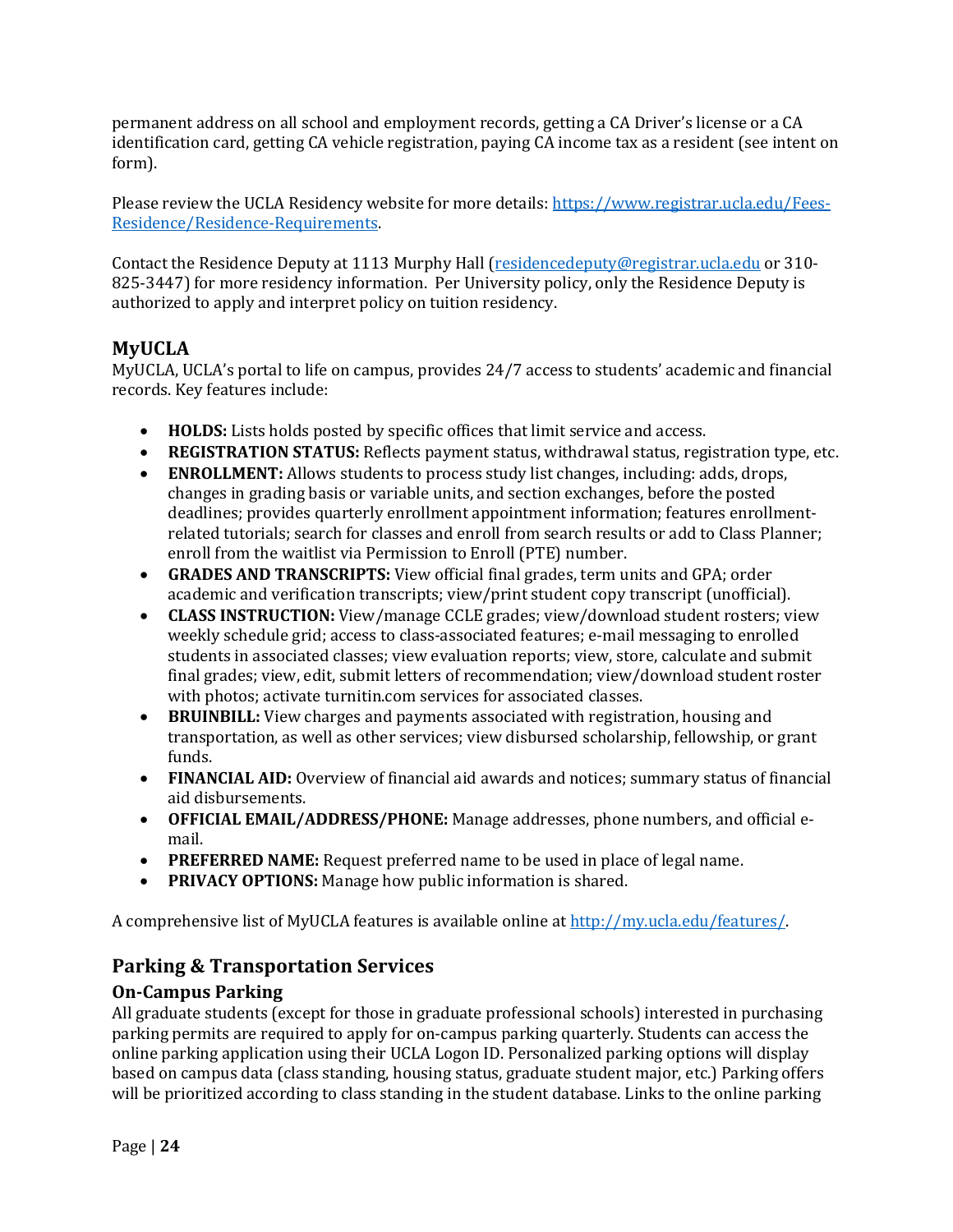permanent address on all school and employment records, getting a CA Driver's license or a CA identification card, getting CA vehicle registration, paying CA income tax as a resident (see intent on form). 

Please review the UCLA Residency website for more details: https://www.registrar.ucla.edu/Fees-Residence/Residence-Requirements. 

Contact the Residence Deputy at 1113 Murphy Hall (residencedeputy@registrar.ucla.edu or 310-825-3447) for more residency information. Per University policy, only the Residence Deputy is authorized to apply and interpret policy on tuition residency.

## **MyUCLA**

MyUCLA, UCLA's portal to life on campus, provides  $24/7$  access to students' academic and financial records. Key features include:

- **HOLDS:** Lists holds posted by specific offices that limit service and access.
- **REGISTRATION STATUS:** Reflects payment status, withdrawal status, registration type, etc.
- **ENROLLMENT:** Allows students to process study list changes, including: adds, drops, changes in grading basis or variable units, and section exchanges, before the posted deadlines; provides quarterly enrollment appointment information; features enrollmentrelated tutorials; search for classes and enroll from search results or add to Class Planner; enroll from the waitlist via Permission to Enroll (PTE) number.
- **GRADES AND TRANSCRIPTS:** View official final grades, term units and GPA; order academic and verification transcripts; view/print student copy transcript (unofficial).
- **CLASS INSTRUCTION:** View/manage CCLE grades; view/download student rosters; view weekly schedule grid; access to class-associated features; e-mail messaging to enrolled students in associated classes; view evaluation reports; view, store, calculate and submit final grades; view, edit, submit letters of recommendation; view/download student roster with photos; activate turnitin.com services for associated classes.
- **BRUINBILL:** View charges and payments associated with registration, housing and transportation, as well as other services; view disbursed scholarship, fellowship, or grant funds.
- FINANCIAL AID: Overview of financial aid awards and notices; summary status of financial aid disbursements.
- **OFFICIAL EMAIL/ADDRESS/PHONE:** Manage addresses, phone numbers, and official email.
- **PREFERRED NAME:** Request preferred name to be used in place of legal name.
- **PRIVACY OPTIONS:** Manage how public information is shared.

A comprehensive list of MyUCLA features is available online at http://my.ucla.edu/features/.

## **Parking & Transportation Services**

## **On-Campus Parking**

All graduate students (except for those in graduate professional schools) interested in purchasing parking permits are required to apply for on-campus parking quarterly. Students can access the online parking application using their UCLA Logon ID. Personalized parking options will display based on campus data (class standing, housing status, graduate student major, etc.) Parking offers will be prioritized according to class standing in the student database. Links to the online parking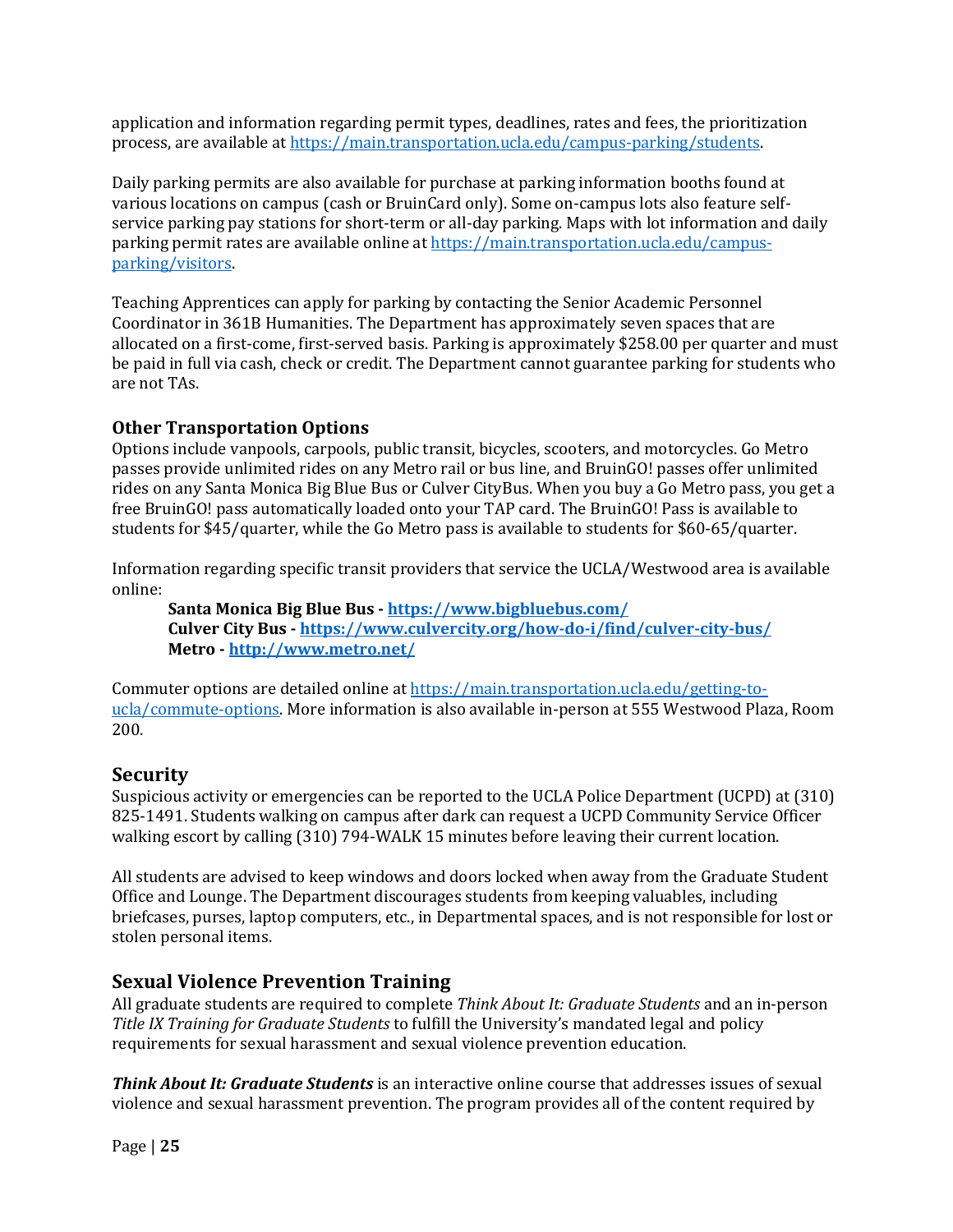application and information regarding permit types, deadlines, rates and fees, the prioritization process, are available at https://main.transportation.ucla.edu/campus-parking/students.

Daily parking permits are also available for purchase at parking information booths found at various locations on campus (cash or BruinCard only). Some on-campus lots also feature selfservice parking pay stations for short-term or all-day parking. Maps with lot information and daily parking permit rates are available online at https://main.transportation.ucla.edu/campusparking/visitors. 

Teaching Apprentices can apply for parking by contacting the Senior Academic Personnel Coordinator in 361B Humanities. The Department has approximately seven spaces that are allocated on a first-come, first-served basis. Parking is approximately \$258.00 per quarter and must be paid in full via cash, check or credit. The Department cannot guarantee parking for students who are not TAs.

## **Other Transportation Options**

Options include vanpools, carpools, public transit, bicycles, scooters, and motorcycles. Go Metro passes provide unlimited rides on any Metro rail or bus line, and BruinGO! passes offer unlimited rides on any Santa Monica Big Blue Bus or Culver CityBus. When you buy a Go Metro pass, you get a free BruinGO! pass automatically loaded onto your TAP card. The BruinGO! Pass is available to students for \$45/quarter, while the Go Metro pass is available to students for \$60-65/quarter.

Information regarding specific transit providers that service the UCLA/Westwood area is available online:

Santa Monica Big Blue Bus - https://www.bigbluebus.com/ **Culver City Bus - https://www.culvercity.org/how-do-i/find/culver-city-bus/ Metro - http://www.metro.net/**

Commuter options are detailed online at https://main.transportation.ucla.edu/getting-toucla/commute-options. More information is also available in-person at 555 Westwood Plaza, Room 200.

## **Security**

Suspicious activity or emergencies can be reported to the UCLA Police Department (UCPD) at (310) 825-1491. Students walking on campus after dark can request a UCPD Community Service Officer walking escort by calling (310) 794-WALK 15 minutes before leaving their current location.

All students are advised to keep windows and doors locked when away from the Graduate Student Office and Lounge. The Department discourages students from keeping valuables, including briefcases, purses, laptop computers, etc., in Departmental spaces, and is not responsible for lost or stolen personal items.

## **Sexual Violence Prevention Training**

All graduate students are required to complete *Think About It: Graduate Students* and an in-person *Title IX Training for Graduate Students* to fulfill the University's mandated legal and policy requirements for sexual harassment and sexual violence prevention education.

*Think About It: Graduate Students* is an interactive online course that addresses issues of sexual violence and sexual harassment prevention. The program provides all of the content required by